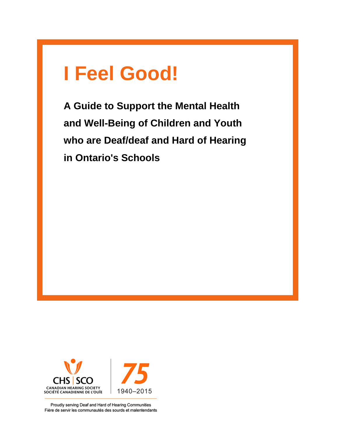# **I Feel Good!**

**A Guide to Support the Mental Health and Well-Being of Children and Youth who are Deaf/deaf and Hard of Hearing in Ontario's Schools**



Proudly serving Deaf and Hard of Hearing Communities Fière de servir les communautés des sourds et malentendants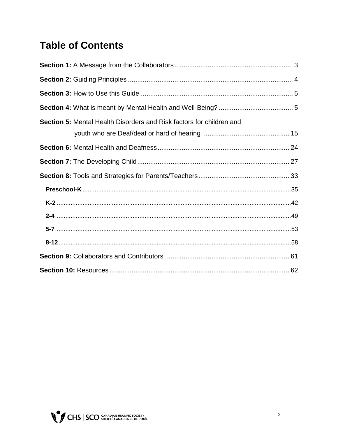### **Table of Contents**

| Section 5: Mental Health Disorders and Risk factors for children and |
|----------------------------------------------------------------------|
|                                                                      |
|                                                                      |
|                                                                      |
|                                                                      |
|                                                                      |
|                                                                      |
|                                                                      |
|                                                                      |
|                                                                      |
|                                                                      |

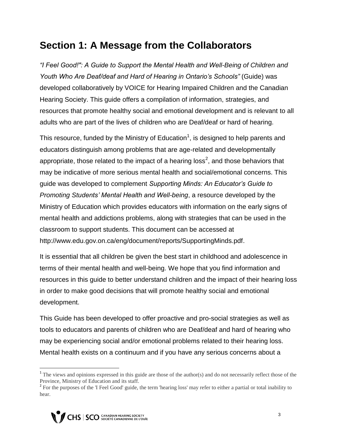### **Section 1: A Message from the Collaborators**

*"I Feel Good!": A Guide to Support the Mental Health and Well-Being of Children and Youth Who Are Deaf/deaf and Hard of Hearing in Ontario's Schools"* (Guide) was developed collaboratively by VOICE for Hearing Impaired Children and the Canadian Hearing Society. This guide offers a compilation of information, strategies, and resources that promote healthy social and emotional development and is relevant to all adults who are part of the lives of children who are Deaf/deaf or hard of hearing.

This resource, funded by the Ministry of Education<sup>1</sup>, is designed to help parents and educators distinguish among problems that are age-related and developmentally appropriate, those related to the impact of a hearing loss<sup>2</sup>, and those behaviors that may be indicative of more serious mental health and social/emotional concerns. This guide was developed to complement *Supporting Minds: An Educator's Guide to Promoting Students' Mental Health and Well-being*, a resource developed by the Ministry of Education which provides educators with information on the early signs of mental health and addictions problems, along with strategies that can be used in the classroom to support students. This document can be accessed at http://www.edu.gov.on.ca/eng/document/reports/SupportingMinds.pdf.

It is essential that all children be given the best start in childhood and adolescence in terms of their mental health and well-being. We hope that you find information and resources in this guide to better understand children and the impact of their hearing loss in order to make good decisions that will promote healthy social and emotional development.

This Guide has been developed to offer proactive and pro-social strategies as well as tools to educators and parents of children who are Deaf/deaf and hard of hearing who may be experiencing social and/or emotional problems related to their hearing loss. Mental health exists on a continuum and if you have any serious concerns about a

 $\overline{\phantom{a}}$ 

<sup>&</sup>lt;sup>1</sup> The views and opinions expressed in this guide are those of the author(s) and do not necessarily reflect those of the Province, Ministry of Education and its staff.

<sup>&</sup>lt;sup>2</sup> For the purposes of the 'I Feel Good' guide, the term 'hearing loss' may refer to either a partial or total inability to hear.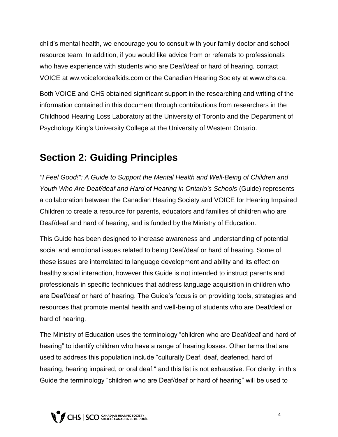child's mental health, we encourage you to consult with your family doctor and school resource team. In addition, if you would like advice from or referrals to professionals who have experience with students who are Deaf/deaf or hard of hearing, contact VOICE at ww.voicefordeafkids.com or the Canadian Hearing Society at www.chs.ca.

Both VOICE and CHS obtained significant support in the researching and writing of the information contained in this document through contributions from researchers in the Childhood Hearing Loss Laboratory at the University of Toronto and the Department of Psychology King's University College at the University of Western Ontario.

### **Section 2: Guiding Principles**

*"I Feel Good!": A Guide to Support the Mental Health and Well-Being of Children and Youth Who Are Deaf/deaf and Hard of Hearing in Ontario's Schools* (Guide) represents a collaboration between the Canadian Hearing Society and VOICE for Hearing Impaired Children to create a resource for parents, educators and families of children who are Deaf/deaf and hard of hearing, and is funded by the Ministry of Education.

This Guide has been designed to increase awareness and understanding of potential social and emotional issues related to being Deaf/deaf or hard of hearing. Some of these issues are interrelated to language development and ability and its effect on healthy social interaction, however this Guide is not intended to instruct parents and professionals in specific techniques that address language acquisition in children who are Deaf/deaf or hard of hearing. The Guide's focus is on providing tools, strategies and resources that promote mental health and well-being of students who are Deaf/deaf or hard of hearing.

The Ministry of Education uses the terminology "children who are Deaf/deaf and hard of hearing" to identify children who have a range of hearing losses. Other terms that are used to address this population include "culturally Deaf, deaf, deafened, hard of hearing, hearing impaired, or oral deaf," and this list is not exhaustive. For clarity, in this Guide the terminology "children who are Deaf/deaf or hard of hearing" will be used to

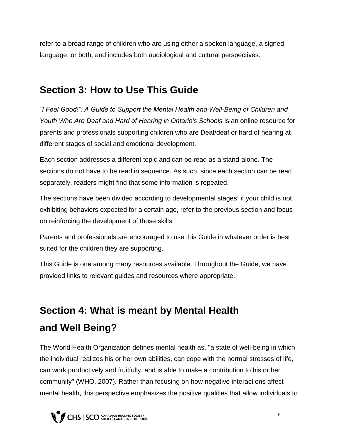refer to a broad range of children who are using either a spoken language, a signed language, or both, and includes both audiological and cultural perspectives.

### **Section 3: How to Use This Guide**

*"I Feel Good!": A Guide to Support the Mental Health and Well-Being of Children and Youth Who Are Deaf and Hard of Hearing in Ontario's Schools* is an online resource for parents and professionals supporting children who are Deaf/deaf or hard of hearing at different stages of social and emotional development.

Each section addresses a different topic and can be read as a stand-alone. The sections do not have to be read in sequence. As such, since each section can be read separately, readers might find that some information is repeated.

The sections have been divided according to developmental stages; if your child is not exhibiting behaviors expected for a certain age, refer to the previous section and focus on reinforcing the development of those skills.

Parents and professionals are encouraged to use this Guide in whatever order is best suited for the children they are supporting.

This Guide is one among many resources available. Throughout the Guide, we have provided links to relevant guides and resources where appropriate.

### **Section 4: What is meant by Mental Health and Well Being?**

The World Health Organization defines mental health as, "a state of well-being in which the individual realizes his or her own abilities, can cope with the normal stresses of life, can work productively and fruitfully, and is able to make a contribution to his or her community" (WHO, 2007). Rather than focusing on how negative interactions affect mental health, this perspective emphasizes the positive qualities that allow individuals to

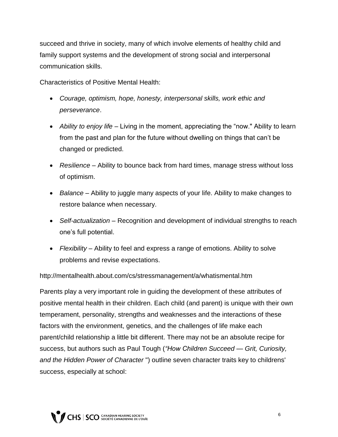succeed and thrive in society, many of which involve elements of healthy child and family support systems and the development of strong social and interpersonal communication skills.

Characteristics of Positive Mental Health:

- *Courage, optimism, hope, honesty, interpersonal skills, work ethic and perseverance*.
- *Ability to enjoy life –* Living in the moment, appreciating the "now." Ability to learn from the past and plan for the future without dwelling on things that can't be changed or predicted.
- *Resilience –* Ability to bounce back from hard times, manage stress without loss of optimism.
- *Balance –* Ability to juggle many aspects of your life. Ability to make changes to restore balance when necessary.
- *Self-actualization –* Recognition and development of individual strengths to reach one's full potential.
- *Flexibility –* Ability to feel and express a range of emotions. Ability to solve problems and revise expectations.

http://mentalhealth.about.com/cs/stressmanagement/a/whatismental.htm

Parents play a very important role in guiding the development of these attributes of positive mental health in their children. Each child (and parent) is unique with their own temperament, personality, strengths and weaknesses and the interactions of these factors with the environment, genetics, and the challenges of life make each parent/child relationship a little bit different. There may not be an absolute recipe for success, but authors such as Paul Tough (*"How Children Succeed — Grit, Curiosity, and the Hidden Power of Character* ") outline seven character traits key to childrens' success, especially at school:

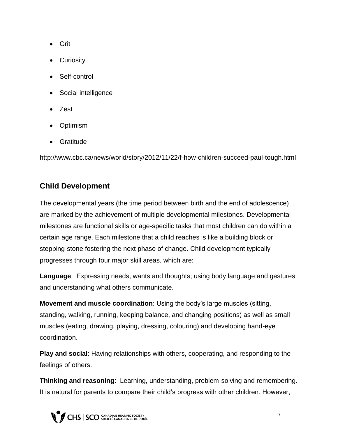- Grit
- Curiosity
- Self-control
- Social intelligence
- Zest
- Optimism
- Gratitude

http://www.cbc.ca/news/world/story/2012/11/22/f-how-children-succeed-paul-tough.html

### **Child Development**

The developmental years (the time period between birth and the end of adolescence) are marked by the achievement of multiple developmental milestones. Developmental milestones are functional skills or age-specific tasks that most children can do within a certain age range. Each milestone that a child reaches is like a building block or stepping-stone fostering the next phase of change. Child development typically progresses through four major skill areas, which are:

**Language**: Expressing needs, wants and thoughts; using body language and gestures; and understanding what others communicate.

**Movement and muscle coordination**: Using the body's large muscles (sitting, standing, walking, running, keeping balance, and changing positions) as well as small muscles (eating, drawing, playing, dressing, colouring) and developing hand-eye coordination.

**Play and social**: Having relationships with others, cooperating, and responding to the feelings of others.

**Thinking and reasoning**: Learning, understanding, problem-solving and remembering. It is natural for parents to compare their child's progress with other children. However,



7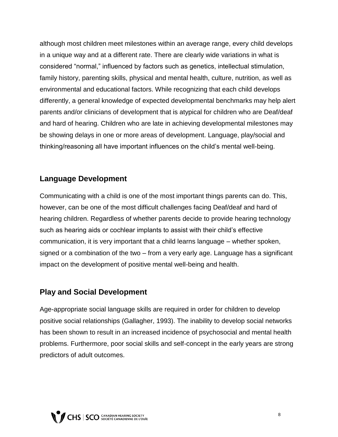although most children meet milestones within an average range, every child develops in a unique way and at a different rate. There are clearly wide variations in what is considered "normal," influenced by factors such as genetics, intellectual stimulation, family history, parenting skills, physical and mental health, culture, nutrition, as well as environmental and educational factors. While recognizing that each child develops differently, a general knowledge of expected developmental benchmarks may help alert parents and/or clinicians of development that is atypical for children who are Deaf/deaf and hard of hearing. Children who are late in achieving developmental milestones may be showing delays in one or more areas of development. Language, play/social and thinking/reasoning all have important influences on the child's mental well-being.

#### **Language Development**

Communicating with a child is one of the most important things parents can do. This, however, can be one of the most difficult challenges facing Deaf/deaf and hard of hearing children. Regardless of whether parents decide to provide hearing technology such as hearing aids or cochlear implants to assist with their child's effective communication, it is very important that a child learns language – whether spoken, signed or a combination of the two – from a very early age. Language has a significant impact on the development of positive mental well-being and health.

#### **Play and Social Development**

Age-appropriate social language skills are required in order for children to develop positive social relationships (Gallagher, 1993). The inability to develop social networks has been shown to result in an increased incidence of psychosocial and mental health problems. Furthermore, poor social skills and self-concept in the early years are strong predictors of adult outcomes.

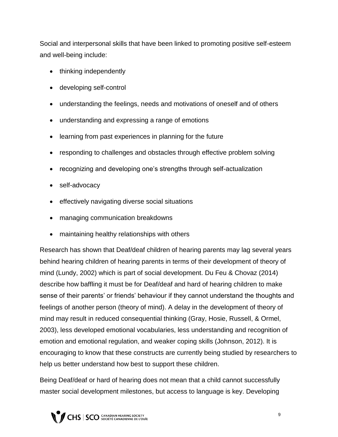Social and interpersonal skills that have been linked to promoting positive self-esteem and well-being include:

- thinking independently
- developing self-control
- understanding the feelings, needs and motivations of oneself and of others
- understanding and expressing a range of emotions
- learning from past experiences in planning for the future
- responding to challenges and obstacles through effective problem solving
- recognizing and developing one's strengths through self-actualization
- self-advocacy
- effectively navigating diverse social situations
- managing communication breakdowns
- maintaining healthy relationships with others

Research has shown that Deaf/deaf children of hearing parents may lag several years behind hearing children of hearing parents in terms of their development of theory of mind (Lundy, 2002) which is part of social development. Du Feu & Chovaz (2014) describe how baffling it must be for Deaf/deaf and hard of hearing children to make sense of their parents' or friends' behaviour if they cannot understand the thoughts and feelings of another person (theory of mind). A delay in the development of theory of mind may result in reduced consequential thinking (Gray, Hosie, Russell, & Ormel, 2003), less developed emotional vocabularies, less understanding and recognition of emotion and emotional regulation, and weaker coping skills (Johnson, 2012). It is encouraging to know that these constructs are currently being studied by researchers to help us better understand how best to support these children.

Being Deaf/deaf or hard of hearing does not mean that a child cannot successfully master social development milestones, but access to language is key. Developing

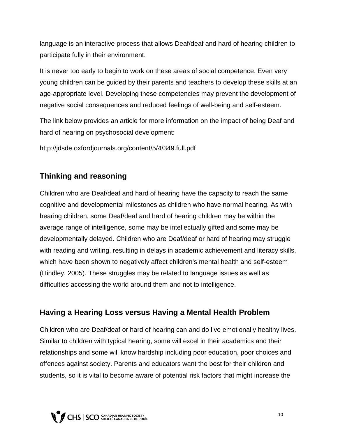language is an interactive process that allows Deaf/deaf and hard of hearing children to participate fully in their environment.

It is never too early to begin to work on these areas of social competence. Even very young children can be guided by their parents and teachers to develop these skills at an age-appropriate level. Developing these competencies may prevent the development of negative social consequences and reduced feelings of well-being and self-esteem.

The link below provides an article for more information on the impact of being Deaf and hard of hearing on psychosocial development:

http://jdsde.oxfordjournals.org/content/5/4/349.full.pdf

#### **Thinking and reasoning**

Children who are Deaf/deaf and hard of hearing have the capacity to reach the same cognitive and developmental milestones as children who have normal hearing. As with hearing children, some Deaf/deaf and hard of hearing children may be within the average range of intelligence, some may be intellectually gifted and some may be developmentally delayed. Children who are Deaf/deaf or hard of hearing may struggle with reading and writing, resulting in delays in academic achievement and literacy skills, which have been shown to negatively affect children's mental health and self-esteem (Hindley, 2005). These struggles may be related to language issues as well as difficulties accessing the world around them and not to intelligence.

#### **Having a Hearing Loss versus Having a Mental Health Problem**

Children who are Deaf/deaf or hard of hearing can and do live emotionally healthy lives. Similar to children with typical hearing, some will excel in their academics and their relationships and some will know hardship including poor education, poor choices and offences against society. Parents and educators want the best for their children and students, so it is vital to become aware of potential risk factors that might increase the

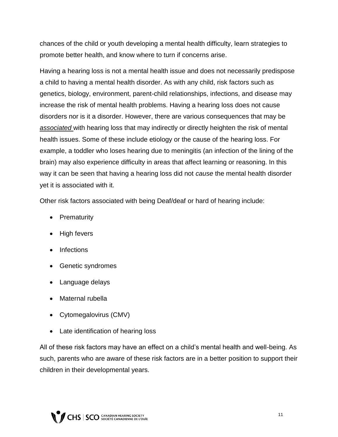chances of the child or youth developing a mental health difficulty, learn strategies to promote better health, and know where to turn if concerns arise.

Having a hearing loss is not a mental health issue and does not necessarily predispose a child to having a mental health disorder. As with any child, risk factors such as genetics, biology, environment, parent-child relationships, infections, and disease may increase the risk of mental health problems. Having a hearing loss does not cause disorders nor is it a disorder. However, there are various consequences that may be *associated* with hearing loss that may indirectly or directly heighten the risk of mental health issues. Some of these include etiology or the cause of the hearing loss. For example, a toddler who loses hearing due to meningitis (an infection of the lining of the brain) may also experience difficulty in areas that affect learning or reasoning. In this way it can be seen that having a hearing loss did not *cause* the mental health disorder yet it is associated with it.

Other risk factors associated with being Deaf/deaf or hard of hearing include:

- Prematurity
- High fevers
- Infections
- Genetic syndromes
- Language delays
- Maternal rubella
- Cytomegalovirus (CMV)
- Late identification of hearing loss

All of these risk factors may have an effect on a child's mental health and well-being. As such, parents who are aware of these risk factors are in a better position to support their children in their developmental years.

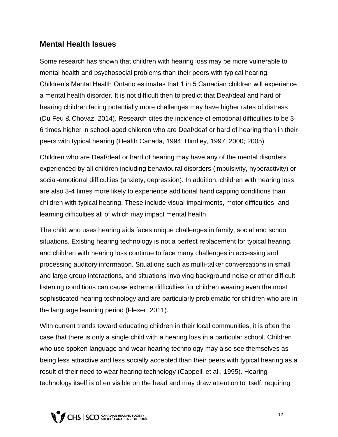#### **Mental Health Issues**

Some research has shown that children with hearing loss may be more vulnerable to mental health and psychosocial problems than their peers with typical hearing. Children's Mental Health Ontario estimates that 1 in 5 Canadian children will experience a mental health disorder. It is not difficult then to predict that Deaf/deaf and hard of hearing children facing potentially more challenges may have higher rates of distress (Du Feu & Chovaz, 2014). Research cites the incidence of emotional difficulties to be 3- 6 times higher in school-aged children who are Deaf/deaf or hard of hearing than in their peers with typical hearing (Health Canada, 1994; Hindley, 1997; 2000; 2005).

Children who are Deaf/deaf or hard of hearing may have any of the mental disorders experienced by all children including behavioural disorders (impulsivity, hyperactivity) or social-emotional difficulties (anxiety, depression). In addition, children with hearing loss are also 3-4 times more likely to experience additional handicapping conditions than children with typical hearing. These include visual impairments, motor difficulties, and learning difficulties all of which may impact mental health.

The child who uses hearing aids faces unique challenges in family, social and school situations. Existing hearing technology is not a perfect replacement for typical hearing, and children with hearing loss continue to face many challenges in accessing and processing auditory information. Situations such as multi-talker conversations in small and large group interactions, and situations involving background noise or other difficult listening conditions can cause extreme difficulties for children wearing even the most sophisticated hearing technology and are particularly problematic for children who are in the language learning period (Flexer, 2011).

With current trends toward educating children in their local communities, it is often the case that there is only a single child with a hearing loss in a particular school. Children who use spoken language and wear hearing technology may also see themselves as being less attractive and less socially accepted than their peers with typical hearing as a result of their need to wear hearing technology (Cappelli et al., 1995). Hearing technology itself is often visible on the head and may draw attention to itself, requiring

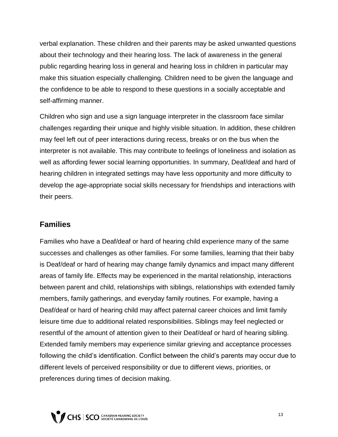verbal explanation. These children and their parents may be asked unwanted questions about their technology and their hearing loss. The lack of awareness in the general public regarding hearing loss in general and hearing loss in children in particular may make this situation especially challenging. Children need to be given the language and the confidence to be able to respond to these questions in a socially acceptable and self-affirming manner.

Children who sign and use a sign language interpreter in the classroom face similar challenges regarding their unique and highly visible situation. In addition, these children may feel left out of peer interactions during recess, breaks or on the bus when the interpreter is not available. This may contribute to feelings of loneliness and isolation as well as affording fewer social learning opportunities. In summary, Deaf/deaf and hard of hearing children in integrated settings may have less opportunity and more difficulty to develop the age-appropriate social skills necessary for friendships and interactions with their peers.

#### **Families**

Families who have a Deaf/deaf or hard of hearing child experience many of the same successes and challenges as other families. For some families, learning that their baby is Deaf/deaf or hard of hearing may change family dynamics and impact many different areas of family life. Effects may be experienced in the marital relationship, interactions between parent and child, relationships with siblings, relationships with extended family members, family gatherings, and everyday family routines. For example, having a Deaf/deaf or hard of hearing child may affect paternal career choices and limit family leisure time due to additional related responsibilities. Siblings may feel neglected or resentful of the amount of attention given to their Deaf/deaf or hard of hearing sibling. Extended family members may experience similar grieving and acceptance processes following the child's identification. Conflict between the child's parents may occur due to different levels of perceived responsibility or due to different views, priorities, or preferences during times of decision making.

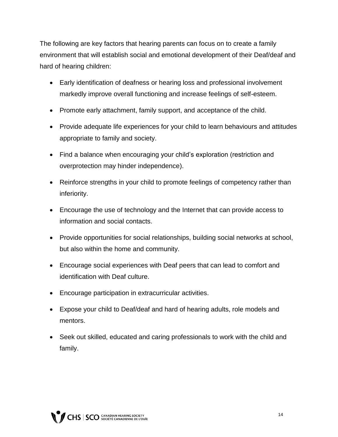The following are key factors that hearing parents can focus on to create a family environment that will establish social and emotional development of their Deaf/deaf and hard of hearing children:

- Early identification of deafness or hearing loss and professional involvement markedly improve overall functioning and increase feelings of self-esteem.
- Promote early attachment, family support, and acceptance of the child.
- Provide adequate life experiences for your child to learn behaviours and attitudes appropriate to family and society.
- Find a balance when encouraging your child's exploration (restriction and overprotection may hinder independence).
- Reinforce strengths in your child to promote feelings of competency rather than inferiority.
- Encourage the use of technology and the Internet that can provide access to information and social contacts.
- Provide opportunities for social relationships, building social networks at school, but also within the home and community.
- Encourage social experiences with Deaf peers that can lead to comfort and identification with Deaf culture.
- Encourage participation in extracurricular activities.
- Expose your child to Deaf/deaf and hard of hearing adults, role models and mentors.
- Seek out skilled, educated and caring professionals to work with the child and family.

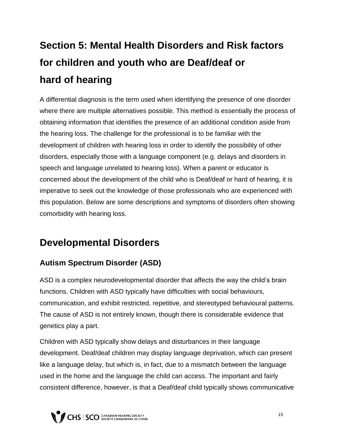## **Section 5: Mental Health Disorders and Risk factors for children and youth who are Deaf/deaf or hard of hearing**

A differential diagnosis is the term used when identifying the presence of one disorder where there are multiple alternatives possible. This method is essentially the process of obtaining information that identifies the presence of an additional condition aside from the hearing loss. The challenge for the professional is to be familiar with the development of children with hearing loss in order to identify the possibility of other disorders, especially those with a language component (e.g. delays and disorders in speech and language unrelated to hearing loss). When a parent or educator is concerned about the development of the child who is Deaf/deaf or hard of hearing, it is imperative to seek out the knowledge of those professionals who are experienced with this population. Below are some descriptions and symptoms of disorders often showing comorbidity with hearing loss.

### **Developmental Disorders**

#### **Autism Spectrum Disorder (ASD)**

ASD is a complex neurodevelopmental disorder that affects the way the child's brain functions. Children with ASD typically have difficulties with social behaviours, communication, and exhibit restricted, repetitive, and stereotyped behavioural patterns. The cause of ASD is not entirely known, though there is considerable evidence that genetics play a part.

Children with ASD typically show delays and disturbances in their language development. Deaf/deaf children may display language deprivation, which can present like a language delay, but which is, in fact, due to a mismatch between the language used in the home and the language the child can access. The important and fairly consistent difference, however, is that a Deaf/deaf child typically shows communicative

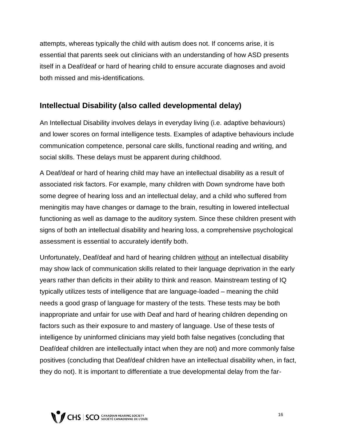attempts, whereas typically the child with autism does not. If concerns arise, it is essential that parents seek out clinicians with an understanding of how ASD presents itself in a Deaf/deaf or hard of hearing child to ensure accurate diagnoses and avoid both missed and mis-identifications.

#### **Intellectual Disability (also called developmental delay)**

An Intellectual Disability involves delays in everyday living (i.e. adaptive behaviours) and lower scores on formal intelligence tests. Examples of adaptive behaviours include communication competence, personal care skills, functional reading and writing, and social skills. These delays must be apparent during childhood.

A Deaf/deaf or hard of hearing child may have an intellectual disability as a result of associated risk factors. For example, many children with Down syndrome have both some degree of hearing loss and an intellectual delay, and a child who suffered from meningitis may have changes or damage to the brain, resulting in lowered intellectual functioning as well as damage to the auditory system. Since these children present with signs of both an intellectual disability and hearing loss, a comprehensive psychological assessment is essential to accurately identify both.

Unfortunately, Deaf/deaf and hard of hearing children without an intellectual disability may show lack of communication skills related to their language deprivation in the early years rather than deficits in their ability to think and reason. Mainstream testing of IQ typically utilizes tests of intelligence that are language-loaded – meaning the child needs a good grasp of language for mastery of the tests. These tests may be both inappropriate and unfair for use with Deaf and hard of hearing children depending on factors such as their exposure to and mastery of language. Use of these tests of intelligence by uninformed clinicians may yield both false negatives (concluding that Deaf/deaf children are intellectually intact when they are not) and more commonly false positives (concluding that Deaf/deaf children have an intellectual disability when, in fact, they do not). It is important to differentiate a true developmental delay from the far-

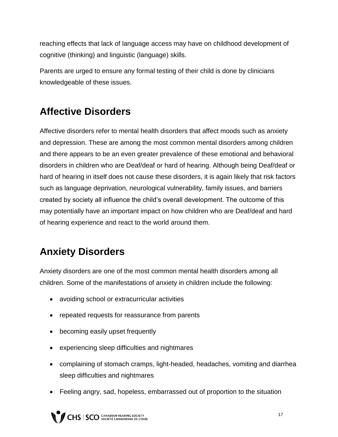reaching effects that lack of language access may have on childhood development of cognitive (thinking) and linguistic (language) skills.

Parents are urged to ensure any formal testing of their child is done by clinicians knowledgeable of these issues.

### **Affective Disorders**

Affective disorders refer to mental health disorders that affect moods such as anxiety and depression. These are among the most common mental disorders among children and there appears to be an even greater prevalence of these emotional and behavioral disorders in children who are Deaf/deaf or hard of hearing. Although being Deaf/deaf or hard of hearing in itself does not cause these disorders, it is again likely that risk factors such as language deprivation, neurological vulnerability, family issues, and barriers created by society all influence the child's overall development. The outcome of this may potentially have an important impact on how children who are Deaf/deaf and hard of hearing experience and react to the world around them.

### **Anxiety Disorders**

Anxiety disorders are one of the most common mental health disorders among all children. Some of the manifestations of anxiety in children include the following:

- avoiding school or extracurricular activities
- repeated requests for reassurance from parents
- becoming easily upset frequently
- experiencing sleep difficulties and nightmares
- complaining of stomach cramps, light-headed, headaches, vomiting and diarrhea sleep difficulties and nightmares
- Feeling angry, sad, hopeless, embarrassed out of proportion to the situation

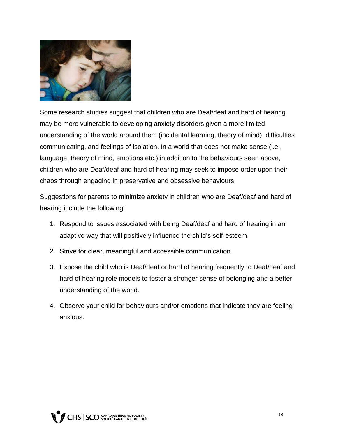

Some research studies suggest that children who are Deaf/deaf and hard of hearing may be more vulnerable to developing anxiety disorders given a more limited understanding of the world around them (incidental learning, theory of mind), difficulties communicating, and feelings of isolation. In a world that does not make sense (i.e., language, theory of mind, emotions etc.) in addition to the behaviours seen above, children who are Deaf/deaf and hard of hearing may seek to impose order upon their chaos through engaging in preservative and obsessive behaviours.

Suggestions for parents to minimize anxiety in children who are Deaf/deaf and hard of hearing include the following:

- 1. Respond to issues associated with being Deaf/deaf and hard of hearing in an adaptive way that will positively influence the child's self-esteem.
- 2. Strive for clear, meaningful and accessible communication.
- 3. Expose the child who is Deaf/deaf or hard of hearing frequently to Deaf/deaf and hard of hearing role models to foster a stronger sense of belonging and a better understanding of the world.
- 4. Observe your child for behaviours and/or emotions that indicate they are feeling anxious.

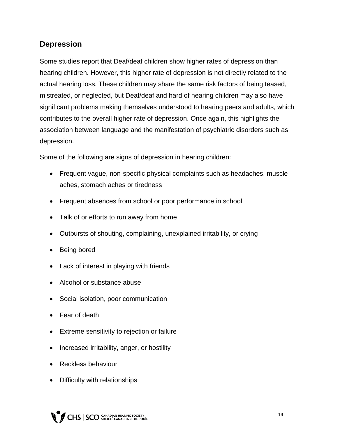#### **Depression**

Some studies report that Deaf/deaf children show higher rates of depression than hearing children. However, this higher rate of depression is not directly related to the actual hearing loss. These children may share the same risk factors of being teased, mistreated, or neglected, but Deaf/deaf and hard of hearing children may also have significant problems making themselves understood to hearing peers and adults, which contributes to the overall higher rate of depression. Once again, this highlights the association between language and the manifestation of psychiatric disorders such as depression.

Some of the following are signs of depression in hearing children:

- Frequent vague, non-specific physical complaints such as headaches, muscle aches, stomach aches or tiredness
- Frequent absences from school or poor performance in school
- Talk of or efforts to run away from home
- Outbursts of shouting, complaining, unexplained irritability, or crying
- Being bored
- Lack of interest in playing with friends
- Alcohol or substance abuse
- Social isolation, poor communication
- Fear of death
- Extreme sensitivity to rejection or failure
- Increased irritability, anger, or hostility
- Reckless behaviour
- Difficulty with relationships

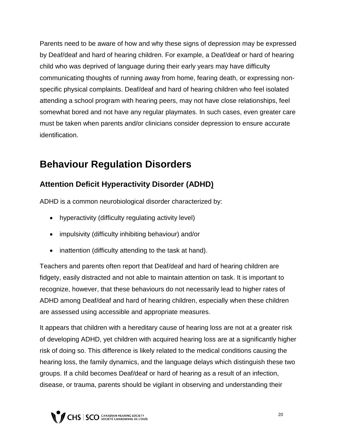Parents need to be aware of how and why these signs of depression may be expressed by Deaf/deaf and hard of hearing children. For example, a Deaf/deaf or hard of hearing child who was deprived of language during their early years may have difficulty communicating thoughts of running away from home, fearing death, or expressing nonspecific physical complaints. Deaf/deaf and hard of hearing children who feel isolated attending a school program with hearing peers, may not have close relationships, feel somewhat bored and not have any regular playmates. In such cases, even greater care must be taken when parents and/or clinicians consider depression to ensure accurate identification.

### **Behaviour Regulation Disorders**

#### **Attention Deficit Hyperactivity Disorder (ADHD)**

ADHD is a common neurobiological disorder characterized by:

- hyperactivity (difficulty regulating activity level)
- impulsivity (difficulty inhibiting behaviour) and/or
- inattention (difficulty attending to the task at hand).

Teachers and parents often report that Deaf/deaf and hard of hearing children are fidgety, easily distracted and not able to maintain attention on task. It is important to recognize, however, that these behaviours do not necessarily lead to higher rates of ADHD among Deaf/deaf and hard of hearing children, especially when these children are assessed using accessible and appropriate measures.

It appears that children with a hereditary cause of hearing loss are not at a greater risk of developing ADHD, yet children with acquired hearing loss are at a significantly higher risk of doing so. This difference is likely related to the medical conditions causing the hearing loss, the family dynamics, and the language delays which distinguish these two groups. If a child becomes Deaf/deaf or hard of hearing as a result of an infection, disease, or trauma, parents should be vigilant in observing and understanding their

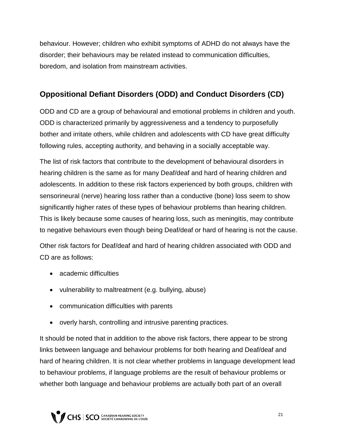behaviour. However; children who exhibit symptoms of ADHD do not always have the disorder; their behaviours may be related instead to communication difficulties, boredom, and isolation from mainstream activities.

#### **Oppositional Defiant Disorders (ODD) and Conduct Disorders (CD)**

ODD and CD are a group of behavioural and emotional problems in children and youth. ODD is characterized primarily by aggressiveness and a tendency to purposefully bother and irritate others, while children and adolescents with CD have great difficulty following rules, accepting authority, and behaving in a socially acceptable way.

The list of risk factors that contribute to the development of behavioural disorders in hearing children is the same as for many Deaf/deaf and hard of hearing children and adolescents. In addition to these risk factors experienced by both groups, children with sensorineural (nerve) hearing loss rather than a conductive (bone) loss seem to show significantly higher rates of these types of behaviour problems than hearing children. This is likely because some causes of hearing loss, such as meningitis, may contribute to negative behaviours even though being Deaf/deaf or hard of hearing is not the cause.

Other risk factors for Deaf/deaf and hard of hearing children associated with ODD and CD are as follows:

- academic difficulties
- vulnerability to maltreatment (e.g. bullying, abuse)
- communication difficulties with parents
- overly harsh, controlling and intrusive parenting practices.

It should be noted that in addition to the above risk factors, there appear to be strong links between language and behaviour problems for both hearing and Deaf/deaf and hard of hearing children. It is not clear whether problems in language development lead to behaviour problems, if language problems are the result of behaviour problems or whether both language and behaviour problems are actually both part of an overall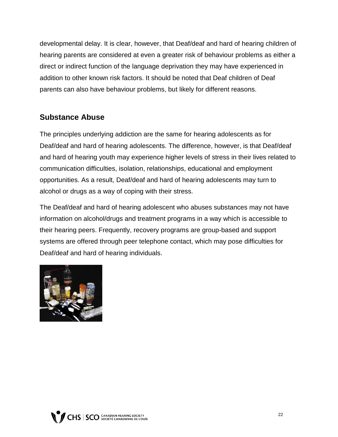developmental delay. It is clear, however, that Deaf/deaf and hard of hearing children of hearing parents are considered at even a greater risk of behaviour problems as either a direct or indirect function of the language deprivation they may have experienced in addition to other known risk factors. It should be noted that Deaf children of Deaf parents can also have behaviour problems, but likely for different reasons.

#### **Substance Abuse**

The principles underlying addiction are the same for hearing adolescents as for Deaf/deaf and hard of hearing adolescents. The difference, however, is that Deaf/deaf and hard of hearing youth may experience higher levels of stress in their lives related to communication difficulties, isolation, relationships, educational and employment opportunities. As a result, Deaf/deaf and hard of hearing adolescents may turn to alcohol or drugs as a way of coping with their stress.

The Deaf/deaf and hard of hearing adolescent who abuses substances may not have information on alcohol/drugs and treatment programs in a way which is accessible to their hearing peers. Frequently, recovery programs are group-based and support systems are offered through peer telephone contact, which may pose difficulties for Deaf/deaf and hard of hearing individuals.



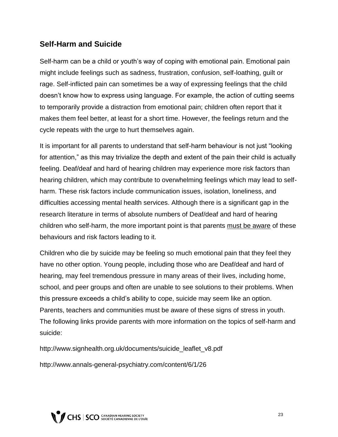#### **Self-Harm and Suicide**

Self-harm can be a child or youth's way of coping with emotional pain. Emotional pain might include feelings such as sadness, frustration, confusion, self-loathing, guilt or rage. Self-inflicted pain can sometimes be a way of expressing feelings that the child doesn't know how to express using language. For example, the action of cutting seems to temporarily provide a distraction from emotional pain; children often report that it makes them feel better, at least for a short time. However, the feelings return and the cycle repeats with the urge to hurt themselves again.

It is important for all parents to understand that self-harm behaviour is not just "looking for attention," as this may trivialize the depth and extent of the pain their child is actually feeling. Deaf/deaf and hard of hearing children may experience more risk factors than hearing children, which may contribute to overwhelming feelings which may lead to selfharm. These risk factors include communication issues, isolation, loneliness, and difficulties accessing mental health services. Although there is a significant gap in the research literature in terms of absolute numbers of Deaf/deaf and hard of hearing children who self-harm, the more important point is that parents must be aware of these behaviours and risk factors leading to it.

Children who die by suicide may be feeling so much emotional pain that they feel they have no other option. Young people, including those who are Deaf/deaf and hard of hearing, may feel tremendous pressure in many areas of their lives, including home, school, and peer groups and often are unable to see solutions to their problems. When this pressure exceeds a child's ability to cope, suicide may seem like an option. Parents, teachers and communities must be aware of these signs of stress in youth. The following links provide parents with more information on the topics of self-harm and suicide:

http://www.signhealth.org.uk/documents/suicide\_leaflet\_v8.pdf

http://www.annals-general-psychiatry.com/content/6/1/26

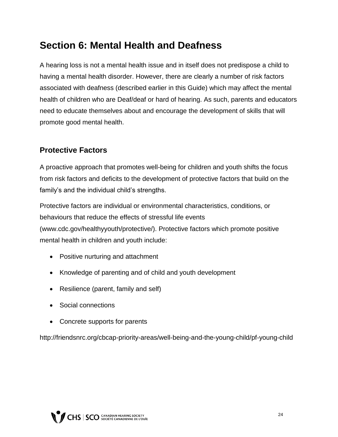### **Section 6: Mental Health and Deafness**

A hearing loss is not a mental health issue and in itself does not predispose a child to having a mental health disorder. However, there are clearly a number of risk factors associated with deafness (described earlier in this Guide) which may affect the mental health of children who are Deaf/deaf or hard of hearing. As such, parents and educators need to educate themselves about and encourage the development of skills that will promote good mental health.

#### **Protective Factors**

A proactive approach that promotes well-being for children and youth shifts the focus from risk factors and deficits to the development of protective factors that build on the family's and the individual child's strengths.

Protective factors are individual or environmental characteristics, conditions, or behaviours that reduce the effects of stressful life events (www.cdc.gov/healthyyouth/protective/). Protective factors which promote positive mental health in children and youth include:

- Positive nurturing and attachment
- Knowledge of parenting and of child and youth development
- Resilience (parent, family and self)
- Social connections
- Concrete supports for parents

http://friendsnrc.org/cbcap-priority-areas/well-being-and-the-young-child/pf-young-child

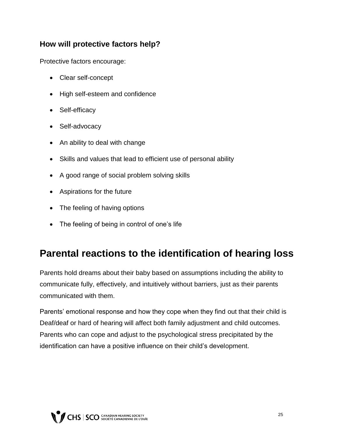#### **How will protective factors help?**

Protective factors encourage:

- Clear self-concept
- High self-esteem and confidence
- Self-efficacy
- Self-advocacy
- An ability to deal with change
- Skills and values that lead to efficient use of personal ability
- A good range of social problem solving skills
- Aspirations for the future
- The feeling of having options
- The feeling of being in control of one's life

### **Parental reactions to the identification of hearing loss**

Parents hold dreams about their baby based on assumptions including the ability to communicate fully, effectively, and intuitively without barriers, just as their parents communicated with them.

Parents' emotional response and how they cope when they find out that their child is Deaf/deaf or hard of hearing will affect both family adjustment and child outcomes. Parents who can cope and adjust to the psychological stress precipitated by the identification can have a positive influence on their child's development.

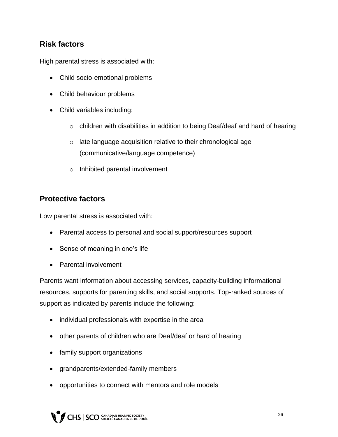#### **Risk factors**

High parental stress is associated with:

- Child socio-emotional problems
- Child behaviour problems
- Child variables including:
	- $\circ$  children with disabilities in addition to being Deaf/deaf and hard of hearing
	- o late language acquisition relative to their chronological age (communicative/language competence)
	- o Inhibited parental involvement

#### **Protective factors**

Low parental stress is associated with:

- Parental access to personal and social support/resources support
- Sense of meaning in one's life
- Parental involvement

Parents want information about accessing services, capacity-building informational resources, supports for parenting skills, and social supports. Top-ranked sources of support as indicated by parents include the following:

- individual professionals with expertise in the area
- other parents of children who are Deaf/deaf or hard of hearing
- family support organizations
- grandparents/extended-family members
- opportunities to connect with mentors and role models

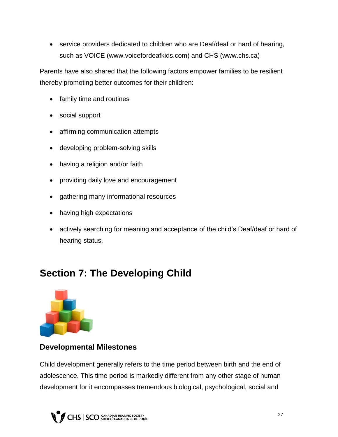• service providers dedicated to children who are Deaf/deaf or hard of hearing, such as VOICE (www.voicefordeafkids.com) and CHS (www.chs.ca)

Parents have also shared that the following factors empower families to be resilient thereby promoting better outcomes for their children:

- family time and routines
- social support
- affirming communication attempts
- developing problem-solving skills
- having a religion and/or faith
- providing daily love and encouragement
- gathering many informational resources
- having high expectations
- actively searching for meaning and acceptance of the child's Deaf/deaf or hard of hearing status.

### **Section 7: The Developing Child**



#### **Developmental Milestones**

Child development generally refers to the time period between birth and the end of adolescence. This time period is markedly different from any other stage of human development for it encompasses tremendous biological, psychological, social and

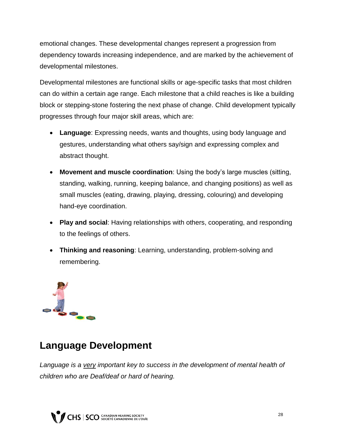emotional changes. These developmental changes represent a progression from dependency towards increasing independence, and are marked by the achievement of developmental milestones.

Developmental milestones are functional skills or age-specific tasks that most children can do within a certain age range. Each milestone that a child reaches is like a building block or stepping-stone fostering the next phase of change. Child development typically progresses through four major skill areas, which are:

- **Language**: Expressing needs, wants and thoughts, using body language and gestures, understanding what others say/sign and expressing complex and abstract thought.
- **Movement and muscle coordination**: Using the body's large muscles (sitting, standing, walking, running, keeping balance, and changing positions) as well as small muscles (eating, drawing, playing, dressing, colouring) and developing hand-eye coordination.
- **Play and social**: Having relationships with others, cooperating, and responding to the feelings of others.
- **Thinking and reasoning**: Learning, understanding, problem-solving and remembering.



### **Language Development**

Language is a very *important key to success in the development of mental health of children who are Deaf/deaf or hard of hearing.*

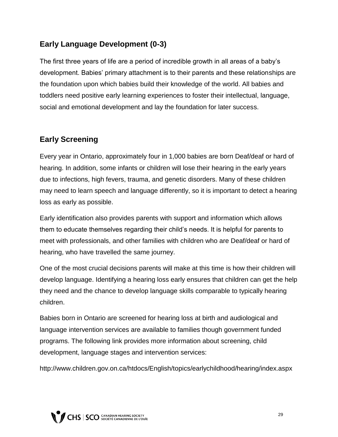#### **Early Language Development (0-3)**

The first three years of life are a period of incredible growth in all areas of a baby's development. Babies' primary attachment is to their parents and these relationships are the foundation upon which babies build their knowledge of the world. All babies and toddlers need positive early learning experiences to foster their intellectual, language, social and emotional development and lay the foundation for later success.

#### **Early Screening**

Every year in Ontario, approximately four in 1,000 babies are born Deaf/deaf or hard of hearing. In addition, some infants or children will lose their hearing in the early years due to infections, high fevers, trauma, and genetic disorders. Many of these children may need to learn speech and language differently, so it is important to detect a hearing loss as early as possible.

Early identification also provides parents with support and information which allows them to educate themselves regarding their child's needs. It is helpful for parents to meet with professionals, and other families with children who are Deaf/deaf or hard of hearing, who have travelled the same journey.

One of the most crucial decisions parents will make at this time is how their children will develop language. Identifying a hearing loss early ensures that children can get the help they need and the chance to develop language skills comparable to typically hearing children.

Babies born in Ontario are screened for hearing loss at birth and audiological and language intervention services are available to families though government funded programs. The following link provides more information about screening, child development, language stages and intervention services:

http://www.children.gov.on.ca/htdocs/English/topics/earlychildhood/hearing/index.aspx

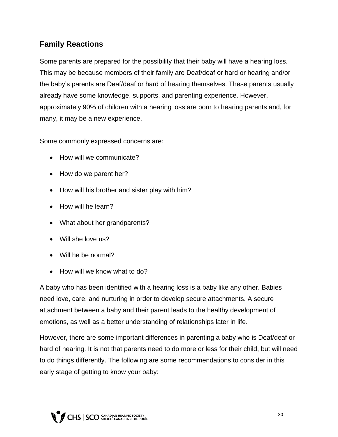#### **Family Reactions**

Some parents are prepared for the possibility that their baby will have a hearing loss. This may be because members of their family are Deaf/deaf or hard or hearing and/or the baby's parents are Deaf/deaf or hard of hearing themselves. These parents usually already have some knowledge, supports, and parenting experience. However, approximately 90% of children with a hearing loss are born to hearing parents and, for many, it may be a new experience.

Some commonly expressed concerns are:

- How will we communicate?
- How do we parent her?
- How will his brother and sister play with him?
- How will he learn?
- What about her grandparents?
- Will she love us?
- Will he be normal?
- How will we know what to do?

A baby who has been identified with a hearing loss is a baby like any other. Babies need love, care, and nurturing in order to develop secure attachments. A secure attachment between a baby and their parent leads to the healthy development of emotions, as well as a better understanding of relationships later in life.

However, there are some important differences in parenting a baby who is Deaf/deaf or hard of hearing. It is not that parents need to do more or less for their child, but will need to do things differently. The following are some recommendations to consider in this early stage of getting to know your baby:

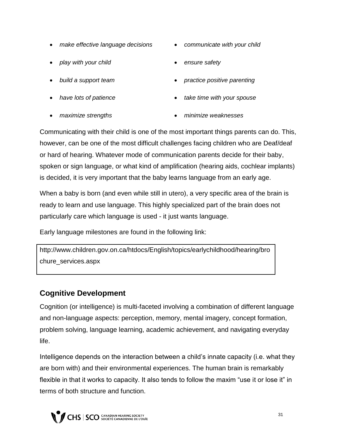- *make effective language decisions communicate with your child*
- play with your child **by the safety ensure safety**
- 
- 
- 
- 
- 
- *build a support team practice positive parenting*
- *have lots of patience take time with your spouse*
	- *maximize strengths minimize weaknesses*

Communicating with their child is one of the most important things parents can do. This, however, can be one of the most difficult challenges facing children who are Deaf/deaf or hard of hearing. Whatever mode of communication parents decide for their baby, spoken or sign language, or what kind of amplification (hearing aids, cochlear implants) is decided, it is very important that the baby learns language from an early age.

When a baby is born (and even while still in utero), a very specific area of the brain is ready to learn and use language. This highly specialized part of the brain does not particularly care which language is used - it just wants language.

Early language milestones are found in the following link:

http://www.children.gov.on.ca/htdocs/English/topics/earlychildhood/hearing/bro chure\_services.aspx

#### **Cognitive Development**

Cognition (or intelligence) is multi-faceted involving a combination of different language and non-language aspects: perception, memory, mental imagery, concept formation, problem solving, language learning, academic achievement, and navigating everyday life.

Intelligence depends on the interaction between a child's innate capacity (i.e. what they are born with) and their environmental experiences. The human brain is remarkably flexible in that it works to capacity. It also tends to follow the maxim "use it or lose it" in terms of both structure and function.

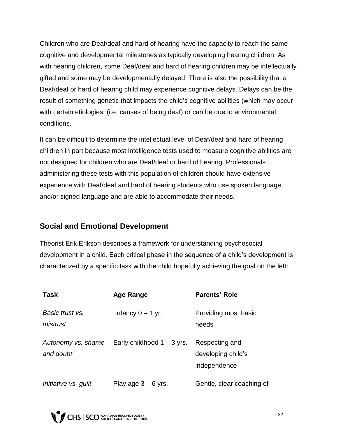Children who are Deaf/deaf and hard of hearing have the capacity to reach the same cognitive and developmental milestones as typically developing hearing children. As with hearing children, some Deaf/deaf and hard of hearing children may be intellectually gifted and some may be developmentally delayed. There is also the possibility that a Deaf/deaf or hard of hearing child may experience cognitive delays. Delays can be the result of something genetic that impacts the child's cognitive abilities (which may occur with certain etiologies, (i.e. causes of being deaf) or can be due to environmental conditions.

It can be difficult to determine the intellectual level of Deaf/deaf and hard of hearing children in part because most intelligence tests used to measure cognitive abilities are not designed for children who are Deaf/deaf or hard of hearing. Professionals administering these tests with this population of children should have extensive experience with Deaf/deaf and hard of hearing students who use spoken language and/or signed language and are able to accommodate their needs.

#### **Social and Emotional Development**

Theorist Erik Erikson describes a framework for understanding psychosocial development in a child. Each critical phase in the sequence of a child's development is characterized by a specific task with the child hopefully achieving the goal on the left:

| <b>Task</b>                     | <b>Age Range</b>             | <b>Parents' Role</b>                                 |
|---------------------------------|------------------------------|------------------------------------------------------|
| Basic trust vs.<br>mistrust     | Infancy $0 - 1$ yr.          | Providing most basic<br>needs                        |
| Autonomy vs. shame<br>and doubt | Early childhood $1 - 3$ yrs. | Respecting and<br>developing child's<br>independence |
| Initiative vs. guilt            | Play age $3 - 6$ yrs.        | Gentle, clear coaching of                            |

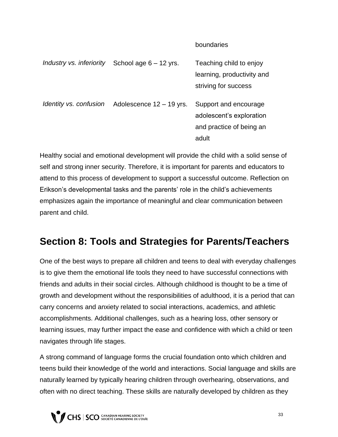#### boundaries

| Industry vs. inferiority | School age $6 - 12$ yrs. | Teaching child to enjoy                           |
|--------------------------|--------------------------|---------------------------------------------------|
|                          |                          | learning, productivity and                        |
|                          |                          | striving for success                              |
| Identity vs. confusion   | Adolescence 12 – 19 yrs. | Support and encourage<br>adolescent's exploration |
|                          |                          | and practice of being an                          |
|                          |                          | adult                                             |

Healthy social and emotional development will provide the child with a solid sense of self and strong inner security. Therefore, it is important for parents and educators to attend to this process of development to support a successful outcome. Reflection on Erikson's developmental tasks and the parents' role in the child's achievements emphasizes again the importance of meaningful and clear communication between parent and child.

### **Section 8: Tools and Strategies for Parents/Teachers**

One of the best ways to prepare all children and teens to deal with everyday challenges is to give them the emotional life tools they need to have successful connections with friends and adults in their social circles. Although childhood is thought to be a time of growth and development without the responsibilities of adulthood, it is a period that can carry concerns and anxiety related to social interactions, academics, and athletic accomplishments. Additional challenges, such as a hearing loss, other sensory or learning issues, may further impact the ease and confidence with which a child or teen navigates through life stages.

A strong command of language forms the crucial foundation onto which children and teens build their knowledge of the world and interactions. Social language and skills are naturally learned by typically hearing children through overhearing, observations, and often with no direct teaching. These skills are naturally developed by children as they

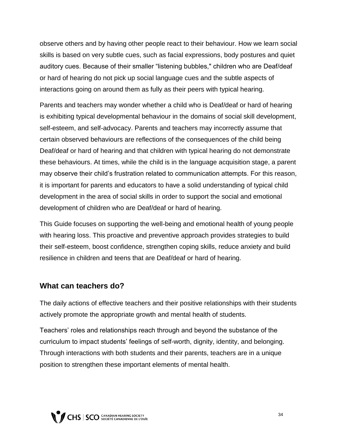observe others and by having other people react to their behaviour. How we learn social skills is based on very subtle cues, such as facial expressions, body postures and quiet auditory cues. Because of their smaller "listening bubbles," children who are Deaf/deaf or hard of hearing do not pick up social language cues and the subtle aspects of interactions going on around them as fully as their peers with typical hearing.

Parents and teachers may wonder whether a child who is Deaf/deaf or hard of hearing is exhibiting typical developmental behaviour in the domains of social skill development, self-esteem, and self-advocacy. Parents and teachers may incorrectly assume that certain observed behaviours are reflections of the consequences of the child being Deaf/deaf or hard of hearing and that children with typical hearing do not demonstrate these behaviours. At times, while the child is in the language acquisition stage, a parent may observe their child's frustration related to communication attempts. For this reason, it is important for parents and educators to have a solid understanding of typical child development in the area of social skills in order to support the social and emotional development of children who are Deaf/deaf or hard of hearing.

This Guide focuses on supporting the well-being and emotional health of young people with hearing loss. This proactive and preventive approach provides strategies to build their self-esteem, boost confidence, strengthen coping skills, reduce anxiety and build resilience in children and teens that are Deaf/deaf or hard of hearing.

#### **What can teachers do?**

The daily actions of effective teachers and their positive relationships with their students actively promote the appropriate growth and mental health of students.

Teachers' roles and relationships reach through and beyond the substance of the curriculum to impact students' feelings of self-worth, dignity, identity, and belonging. Through interactions with both students and their parents, teachers are in a unique position to strengthen these important elements of mental health.

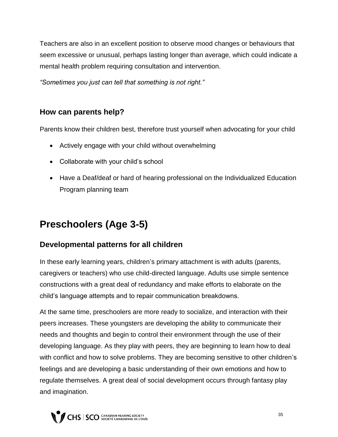Teachers are also in an excellent position to observe mood changes or behaviours that seem excessive or unusual, perhaps lasting longer than average, which could indicate a mental health problem requiring consultation and intervention.

*"Sometimes you just can tell that something is not right."*

#### **How can parents help?**

Parents know their children best, therefore trust yourself when advocating for your child

- Actively engage with your child without overwhelming
- Collaborate with your child's school
- Have a Deaf/deaf or hard of hearing professional on the Individualized Education Program planning team

### **Preschoolers (Age 3-5)**

#### **Developmental patterns for all children**

In these early learning years, children's primary attachment is with adults (parents, caregivers or teachers) who use child-directed language. Adults use simple sentence constructions with a great deal of redundancy and make efforts to elaborate on the child's language attempts and to repair communication breakdowns.

At the same time, preschoolers are more ready to socialize, and interaction with their peers increases. These youngsters are developing the ability to communicate their needs and thoughts and begin to control their environment through the use of their developing language. As they play with peers, they are beginning to learn how to deal with conflict and how to solve problems. They are becoming sensitive to other children's feelings and are developing a basic understanding of their own emotions and how to regulate themselves. A great deal of social development occurs through fantasy play and imagination.

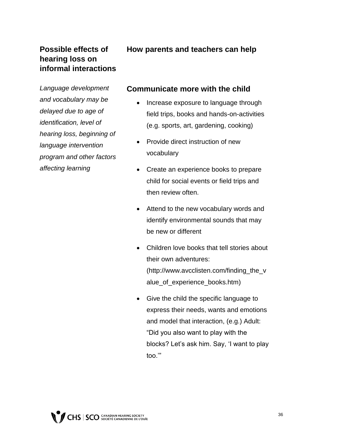#### **Possible effects of hearing loss on informal interactions**

*Language development and vocabulary may be delayed due to age of identification, level of hearing loss, beginning of language intervention program and other factors affecting learning*

#### **How parents and teachers can help**

#### **Communicate more with the child**

- Increase exposure to language through field trips, books and hands-on-activities (e.g. sports, art, gardening, cooking)
- Provide direct instruction of new vocabulary
- Create an experience books to prepare child for social events or field trips and then review often.
- Attend to the new vocabulary words and identify environmental sounds that may be new or different
- Children love books that tell stories about their own adventures: (http://www.avcclisten.com/finding\_the\_v alue\_of\_experience\_books.htm)
- Give the child the specific language to express their needs, wants and emotions and model that interaction, (e.g.) Adult: "Did you also want to play with the blocks? Let's ask him. Say, 'I want to play too.'"

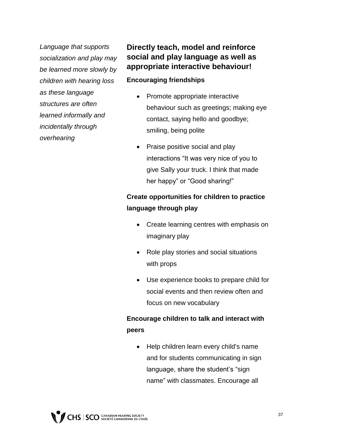*Language that supports socialization and play may be learned more slowly by children with hearing loss as these language structures are often learned informally and incidentally through overhearing* 

#### **Directly teach, model and reinforce social and play language as well as appropriate interactive behaviour!**

#### **Encouraging friendships**

- Promote appropriate interactive behaviour such as greetings; making eye contact, saying hello and goodbye; smiling, being polite
- Praise positive social and play interactions "It was very nice of you to give Sally your truck. I think that made her happy" or "Good sharing!"

#### **Create opportunities for children to practice language through play**

- Create learning centres with emphasis on imaginary play
- Role play stories and social situations with props
- Use experience books to prepare child for social events and then review often and focus on new vocabulary

#### **Encourage children to talk and interact with peers**

• Help children learn every child's name and for students communicating in sign language, share the student's "sign name" with classmates. Encourage all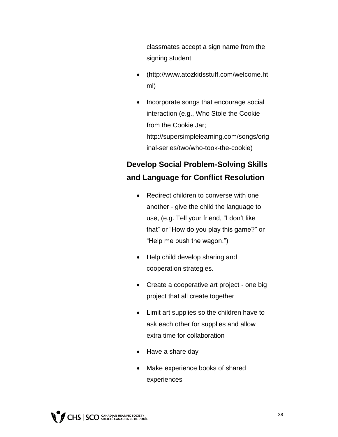classmates accept a sign name from the signing student

- (http://www.atozkidsstuff.com/welcome.ht ml)
- Incorporate songs that encourage social interaction (e.g., Who Stole the Cookie from the Cookie Jar; http://supersimplelearning.com/songs/orig inal-series/two/who-took-the-cookie)

### **Develop Social Problem-Solving Skills and Language for Conflict Resolution**

- Redirect children to converse with one another - give the child the language to use, (e.g. Tell your friend, "I don't like that" or "How do you play this game?" or "Help me push the wagon.")
- Help child develop sharing and cooperation strategies.
- Create a cooperative art project one big project that all create together
- Limit art supplies so the children have to ask each other for supplies and allow extra time for collaboration
- Have a share day
- Make experience books of shared experiences

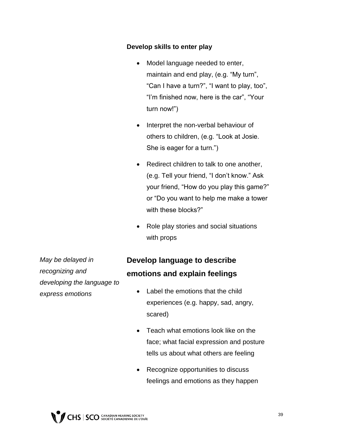#### **Develop skills to enter play**

- Model language needed to enter, maintain and end play, (e.g. "My turn", "Can I have a turn?", "I want to play, too", "I'm finished now, here is the car", "Your turn now!")
- Interpret the non-verbal behaviour of others to children, (e.g. "Look at Josie. She is eager for a turn.")
- Redirect children to talk to one another, (e.g. Tell your friend, "I don't know." Ask your friend, "How do you play this game?" or "Do you want to help me make a tower with these blocks?"
- Role play stories and social situations with props

*May be delayed in recognizing and developing the language to express emotions* 

### **Develop language to describe emotions and explain feelings**

- Label the emotions that the child experiences (e.g. happy, sad, angry, scared)
- Teach what emotions look like on the face; what facial expression and posture tells us about what others are feeling
- Recognize opportunities to discuss feelings and emotions as they happen

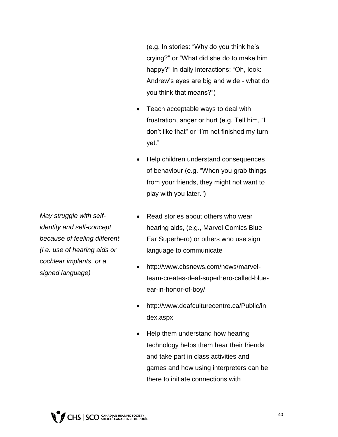(e.g. In stories: "Why do you think he's crying?" or "What did she do to make him happy?" In daily interactions: "Oh, look: Andrew's eyes are big and wide - what do you think that means?")

- Teach acceptable ways to deal with frustration, anger or hurt (e.g. Tell him, "I don't like that" or "I'm not finished my turn yet."
- Help children understand consequences of behaviour (e.g. "When you grab things from your friends, they might not want to play with you later.")
- *May struggle with selfidentity and self-concept because of feeling different (i.e. use of hearing aids or cochlear implants, or a signed language)*
- Read stories about others who wear hearing aids, (e.g., Marvel Comics Blue Ear Superhero) or others who use sign language to communicate
- http://www.cbsnews.com/news/marvelteam-creates-deaf-superhero-called-blueear-in-honor-of-boy/
- http://www.deafculturecentre.ca/Public/in dex.aspx
- Help them understand how hearing technology helps them hear their friends and take part in class activities and games and how using interpreters can be there to initiate connections with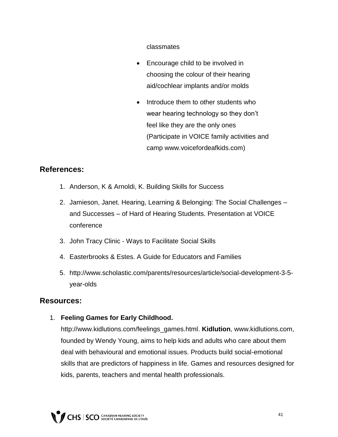classmates

- Encourage child to be involved in choosing the colour of their hearing aid/cochlear implants and/or molds
- Introduce them to other students who wear hearing technology so they don't feel like they are the only ones (Participate in VOICE family activities and camp www.voicefordeafkids.com)

#### **References:**

- 1. Anderson, K & Arnoldi, K. Building Skills for Success
- 2. Jamieson, Janet. Hearing, Learning & Belonging: The Social Challenges and Successes – of Hard of Hearing Students. Presentation at VOICE conference
- 3. John Tracy Clinic Ways to Facilitate Social Skills
- 4. Easterbrooks & Estes. A Guide for Educators and Families
- 5. http://www.scholastic.com/parents/resources/article/social-development-3-5 year-olds

#### **Resources:**

1. **Feeling Games for Early Childhood.** 

http://www.kidlutions.com/feelings\_games.html. **Kidlution**, www.kidlutions.com, founded by Wendy Young, aims to help kids and adults who care about them deal with behavioural and emotional issues. Products build social-emotional skills that are predictors of happiness in life. Games and resources designed for kids, parents, teachers and mental health professionals.

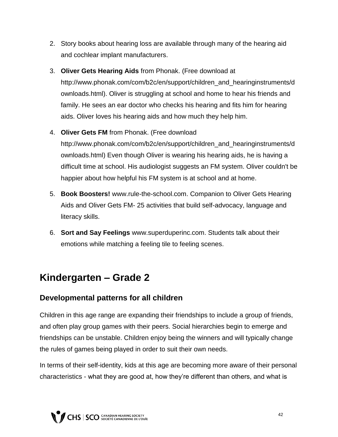- 2. Story books about hearing loss are available through many of the hearing aid and cochlear implant manufacturers.
- 3. **Oliver Gets Hearing Aids** from Phonak. (Free download at http://www.phonak.com/com/b2c/en/support/children\_and\_hearinginstruments/d ownloads.html). Oliver is struggling at school and home to hear his friends and family. He sees an ear doctor who checks his hearing and fits him for hearing aids. Oliver loves his hearing aids and how much they help him.
- 4. **Oliver Gets FM** from Phonak. (Free download http://www.phonak.com/com/b2c/en/support/children\_and\_hearinginstruments/d ownloads.html) Even though Oliver is wearing his hearing aids, he is having a difficult time at school. His audiologist suggests an FM system. Oliver couldn't be happier about how helpful his FM system is at school and at home.
- 5. **Book Boosters!** www.rule-the-school.com. Companion to Oliver Gets Hearing Aids and Oliver Gets FM- 25 activities that build self-advocacy, language and literacy skills.
- 6. **Sort and Say Feelings** www.superduperinc.com. Students talk about their emotions while matching a feeling tile to feeling scenes.

### **Kindergarten – Grade 2**

#### **Developmental patterns for all children**

Children in this age range are expanding their friendships to include a group of friends, and often play group games with their peers. Social hierarchies begin to emerge and friendships can be unstable. Children enjoy being the winners and will typically change the rules of games being played in order to suit their own needs.

In terms of their self-identity, kids at this age are becoming more aware of their personal characteristics - what they are good at, how they're different than others, and what is

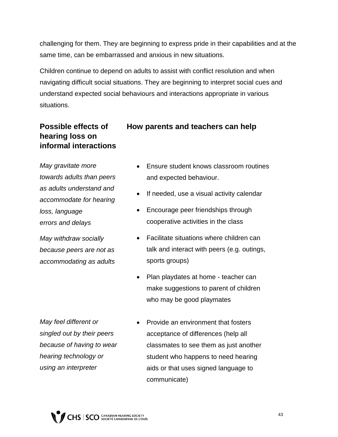challenging for them. They are beginning to express pride in their capabilities and at the same time, can be embarrassed and anxious in new situations.

Children continue to depend on adults to assist with conflict resolution and when navigating difficult social situations. They are beginning to interpret social cues and understand expected social behaviours and interactions appropriate in various situations.

#### **Possible effects of hearing loss on informal interactions**

*May gravitate more towards adults than peers as adults understand and accommodate for hearing loss, language errors and delays*

*May withdraw socially because peers are not as accommodating as adults*

- **How parents and teachers can help**
	- Ensure student knows classroom routines and expected behaviour.
	- If needed, use a visual activity calendar
	- Encourage peer friendships through cooperative activities in the class
	- Facilitate situations where children can talk and interact with peers (e.g. outings, sports groups)
	- Plan playdates at home teacher can make suggestions to parent of children who may be good playmates

*May feel different or singled out by their peers because of having to wear hearing technology or using an interpreter*

• Provide an environment that fosters acceptance of differences (help all classmates to see them as just another student who happens to need hearing aids or that uses signed language to communicate)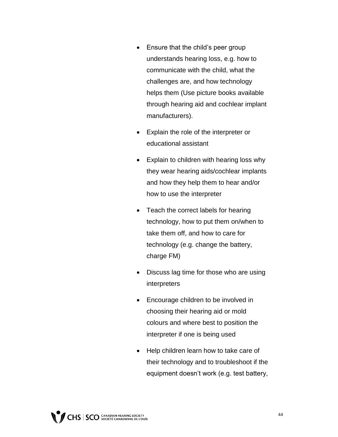- Ensure that the child's peer group understands hearing loss, e.g. how to communicate with the child, what the challenges are, and how technology helps them (Use picture books available through hearing aid and cochlear implant manufacturers).
- Explain the role of the interpreter or educational assistant
- Explain to children with hearing loss why they wear hearing aids/cochlear implants and how they help them to hear and/or how to use the interpreter
- Teach the correct labels for hearing technology, how to put them on/when to take them off, and how to care for technology (e.g. change the battery, charge FM)
- Discuss lag time for those who are using interpreters
- Encourage children to be involved in choosing their hearing aid or mold colours and where best to position the interpreter if one is being used
- Help children learn how to take care of their technology and to troubleshoot if the equipment doesn't work (e.g. test battery,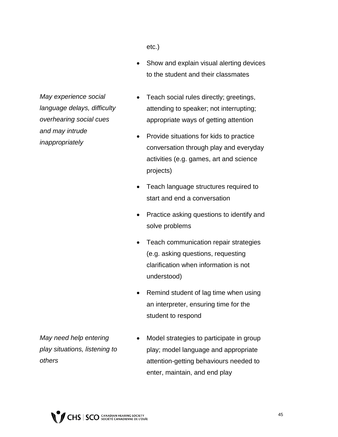etc.)

 Show and explain visual alerting devices to the student and their classmates

*May experience social language delays, difficulty overhearing social cues and may intrude inappropriately*

- Teach social rules directly; greetings, attending to speaker; not interrupting; appropriate ways of getting attention
- Provide situations for kids to practice conversation through play and everyday activities (e.g. games, art and science projects)
- Teach language structures required to start and end a conversation
- Practice asking questions to identify and solve problems
- Teach communication repair strategies (e.g. asking questions, requesting clarification when information is not understood)
- Remind student of lag time when using an interpreter, ensuring time for the student to respond

*May need help entering play situations, listening to others* 

• Model strategies to participate in group play; model language and appropriate attention-getting behaviours needed to enter, maintain, and end play

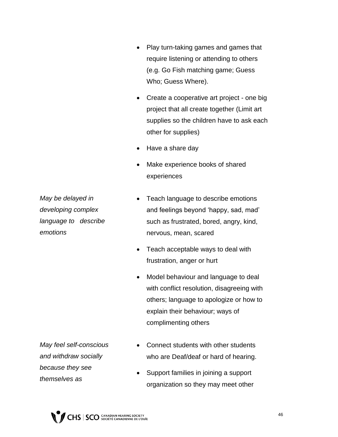- Play turn-taking games and games that require listening or attending to others (e.g. Go Fish matching game; Guess Who; Guess Where).
- Create a cooperative art project one big project that all create together (Limit art supplies so the children have to ask each other for supplies)
- Have a share day
- Make experience books of shared experiences

*May be delayed in developing complex language to describe emotions* 

- Teach language to describe emotions and feelings beyond 'happy, sad, mad' such as frustrated, bored, angry, kind, nervous, mean, scared
- Teach acceptable ways to deal with frustration, anger or hurt
- Model behaviour and language to deal with conflict resolution, disagreeing with others; language to apologize or how to explain their behaviour; ways of complimenting others

*May feel self-conscious and withdraw socially because they see themselves as* 

- Connect students with other students who are Deaf/deaf or hard of hearing.
- Support families in joining a support organization so they may meet other

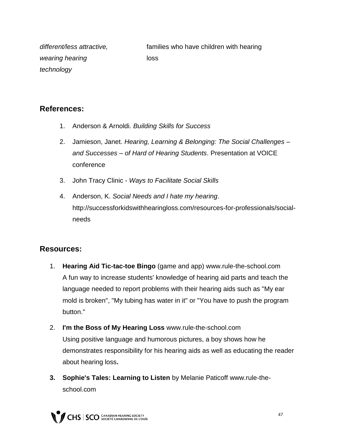*different/less attractive, wearing hearing technology* families who have children with hearing loss

#### **References:**

- 1. Anderson & Arnoldi. *Building Skills for Success*
- 2. Jamieson, Janet. *Hearing, Learning & Belonging: The Social Challenges – and Successes – of Hard of Hearing Students*. Presentation at VOICE conference
- 3. John Tracy Clinic *Ways to Facilitate Social Skills*
- 4. Anderson, K. *Social Needs and I hate my hearing*. http://successforkidswithhearingloss.com/resources-for-professionals/socialneeds

#### **Resources:**

- 1. **Hearing Aid Tic-tac-toe Bingo** (game and app) www.rule-the-school.com A fun way to increase students' knowledge of hearing aid parts and teach the language needed to report problems with their hearing aids such as "My ear mold is broken", "My tubing has water in it" or "You have to push the program button."
- 2. **I'm the Boss of My Hearing Loss** www.rule-the-school.com Using positive language and humorous pictures, a boy shows how he demonstrates responsibility for his hearing aids as well as educating the reader about hearing loss**.**
- **3. Sophie's Tales: Learning to Listen** by Melanie Paticoff www.rule-theschool.com

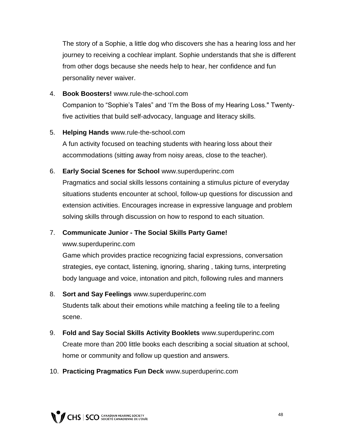The story of a Sophie, a little dog who discovers she has a hearing loss and her journey to receiving a cochlear implant. Sophie understands that she is different from other dogs because she needs help to hear, her confidence and fun personality never waiver.

4. **Book Boosters!** www.rule-the-school.com

Companion to "Sophie's Tales" and 'I'm the Boss of my Hearing Loss." Twentyfive activities that build self-advocacy, language and literacy skills.

5. **Helping Hands** www.rule-the-school.com

A fun activity focused on teaching students with hearing loss about their accommodations (sitting away from noisy areas, close to the teacher).

6. **Early Social Scenes for School** www.superduperinc.com

Pragmatics and social skills lessons containing a stimulus picture of everyday situations students encounter at school, follow-up questions for discussion and extension activities. Encourages increase in expressive language and problem solving skills through discussion on how to respond to each situation.

7. **Communicate Junior - The Social Skills Party Game!**

www.superduperinc.com

Game which provides practice recognizing facial expressions, conversation strategies, eye contact, listening, ignoring, sharing , taking turns, interpreting body language and voice, intonation and pitch, following rules and manners

- 8. **Sort and Say Feelings** www.superduperinc.com Students talk about their emotions while matching a feeling tile to a feeling scene.
- 9. **Fold and Say Social Skills Activity Booklets** www.superduperinc.com Create more than 200 little books each describing a social situation at school, home or community and follow up question and answers.
- 10. **Practicing Pragmatics Fun Deck** www.superduperinc.com

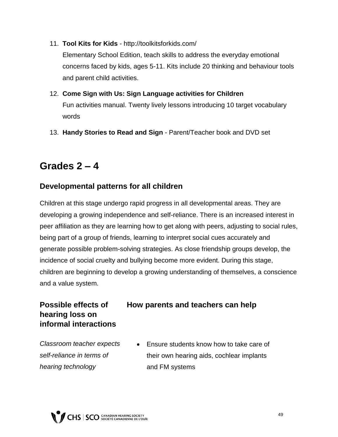- 11. **Tool Kits for Kids** http://toolkitsforkids.com/ Elementary School Edition, teach skills to address the everyday emotional concerns faced by kids, ages 5-11. Kits include 20 thinking and behaviour tools and parent child activities.
- 12. **Come Sign with Us: Sign Language activities for Children**  Fun activities manual. Twenty lively lessons introducing 10 target vocabulary words
- 13. **Handy Stories to Read and Sign** Parent/Teacher book and DVD set

### **Grades 2 – 4**

#### **Developmental patterns for all children**

Children at this stage undergo rapid progress in all developmental areas. They are developing a growing independence and self-reliance. There is an increased interest in peer affiliation as they are learning how to get along with peers, adjusting to social rules, being part of a group of friends, learning to interpret social cues accurately and generate possible problem-solving strategies. As close friendship groups develop, the incidence of social cruelty and bullying become more evident. During this stage, children are beginning to develop a growing understanding of themselves, a conscience and a value system.

#### **Possible effects of hearing loss on informal interactions**

#### **How parents and teachers can help**

*Classroom teacher expects self-reliance in terms of hearing technology*

 Ensure students know how to take care of their own hearing aids, cochlear implants and FM systems

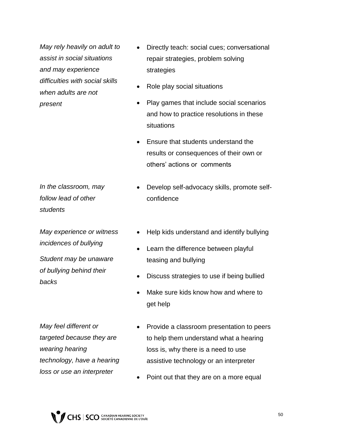*May rely heavily on adult to assist in social situations and may experience difficulties with social skills when adults are not present*

- *In the classroom, may follow lead of other students*
- *May experience or witness incidences of bullying*

*Student may be unaware of bullying behind their backs* 

- Directly teach: social cues; conversational repair strategies, problem solving strategies
- Role play social situations
- Play games that include social scenarios and how to practice resolutions in these situations
- Ensure that students understand the results or consequences of their own or others' actions or comments
- Develop self-advocacy skills, promote selfconfidence
- Help kids understand and identify bullying
- Learn the difference between playful teasing and bullying
- Discuss strategies to use if being bullied
- Make sure kids know how and where to get help

*May feel different or targeted because they are wearing hearing technology, have a hearing loss or use an interpreter*

- Provide a classroom presentation to peers to help them understand what a hearing loss is, why there is a need to use assistive technology or an interpreter
- Point out that they are on a more equal

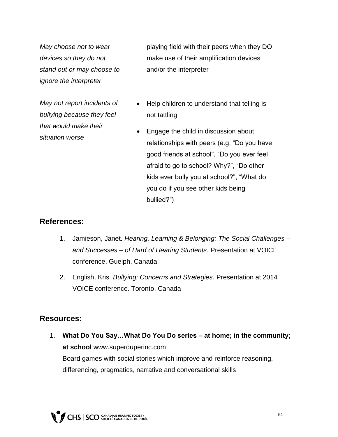*May choose not to wear devices so they do not stand out or may choose to ignore the interpreter*

*May not report incidents of bullying because they feel that would make their situation worse*

playing field with their peers when they DO make use of their amplification devices and/or the interpreter

- Help children to understand that telling is not tattling
- Engage the child in discussion about relationships with peers (e.g. "Do you have good friends at school", "Do you ever feel afraid to go to school? Why?", "Do other kids ever bully you at school?", "What do you do if you see other kids being bullied?")

#### **References:**

- 1. Jamieson, Janet. *Hearing, Learning & Belonging: The Social Challenges – and Successes – of Hard of Hearing Students*. Presentation at VOICE conference, Guelph, Canada
- 2. English, Kris. *Bullying: Concerns and Strategies*. Presentation at 2014 VOICE conference. Toronto, Canada

#### **Resources:**

1. **What Do You Say…What Do You Do series – at home; in the community; at school** www.superduperinc.com Board games with social stories which improve and reinforce reasoning, differencing, pragmatics, narrative and conversational skills

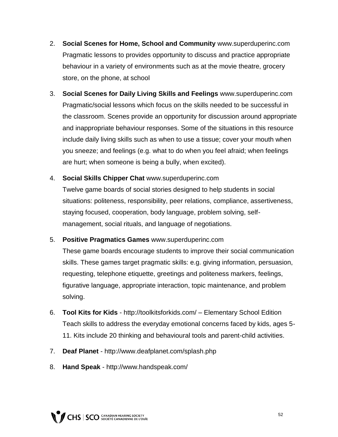- 2. **Social Scenes for Home, School and Community** www.superduperinc.com Pragmatic lessons to provides opportunity to discuss and practice appropriate behaviour in a variety of environments such as at the movie theatre, grocery store, on the phone, at school
- 3. **Social Scenes for Daily Living Skills and Feelings** www.superduperinc.com Pragmatic/social lessons which focus on the skills needed to be successful in the classroom. Scenes provide an opportunity for discussion around appropriate and inappropriate behaviour responses. Some of the situations in this resource include daily living skills such as when to use a tissue; cover your mouth when you sneeze; and feelings (e.g. what to do when you feel afraid; when feelings are hurt; when someone is being a bully, when excited).
- 4. **Social Skills Chipper Chat** www.superduperinc.com

Twelve game boards of social stories designed to help students in social situations: politeness, responsibility, peer relations, compliance, assertiveness, staying focused, cooperation, body language, problem solving, selfmanagement, social rituals, and language of negotiations.

#### 5. **Positive Pragmatics Games** www.superduperinc.com

These game boards encourage students to improve their social communication skills. These games target pragmatic skills: e.g. giving information, persuasion, requesting, telephone etiquette, greetings and politeness markers, feelings, figurative language, appropriate interaction, topic maintenance, and problem solving.

- 6. **Tool Kits for Kids** http://toolkitsforkids.com/ Elementary School Edition Teach skills to address the everyday emotional concerns faced by kids, ages 5- 11. Kits include 20 thinking and behavioural tools and parent-child activities.
- 7. **Deaf Planet** http://www.deafplanet.com/splash.php
- 8. **Hand Speak**  http://www.handspeak.com/

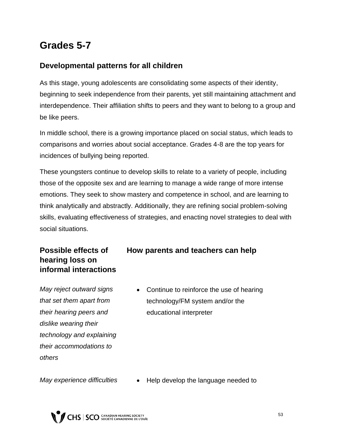### **Grades 5-7**

#### **Developmental patterns for all children**

As this stage, young adolescents are consolidating some aspects of their identity, beginning to seek independence from their parents, yet still maintaining attachment and interdependence. Their affiliation shifts to peers and they want to belong to a group and be like peers.

In middle school, there is a growing importance placed on social status, which leads to comparisons and worries about social acceptance. Grades 4-8 are the top years for incidences of bullying being reported.

These youngsters continue to develop skills to relate to a variety of people, including those of the opposite sex and are learning to manage a wide range of more intense emotions. They seek to show mastery and competence in school, and are learning to think analytically and abstractly. Additionally, they are refining social problem-solving skills, evaluating effectiveness of strategies, and enacting novel strategies to deal with social situations.

#### **Possible effects of hearing loss on informal interactions**

**How parents and teachers can help**

*May reject outward signs that set them apart from their hearing peers and dislike wearing their technology and explaining their accommodations to others*

• Continue to reinforce the use of hearing technology/FM system and/or the educational interpreter

*May experience difficulties* • Help develop the language needed to

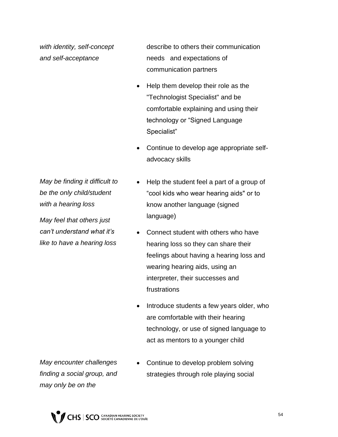*with identity, self-concept and self-acceptance*

describe to others their communication needs and expectations of communication partners

- Help them develop their role as the "Technologist Specialist" and be comfortable explaining and using their technology or "Signed Language Specialist"
- Continue to develop age appropriate selfadvocacy skills

*May be finding it difficult to be the only child/student with a hearing loss* 

*May feel that others just can't understand what it's like to have a hearing loss* 

- Help the student feel a part of a group of "cool kids who wear hearing aids" or to know another language (signed language)
- Connect student with others who have hearing loss so they can share their feelings about having a hearing loss and wearing hearing aids, using an interpreter, their successes and frustrations
- Introduce students a few years older, who are comfortable with their hearing technology, or use of signed language to act as mentors to a younger child

*May encounter challenges finding a social group, and may only be on the* 

 Continue to develop problem solving strategies through role playing social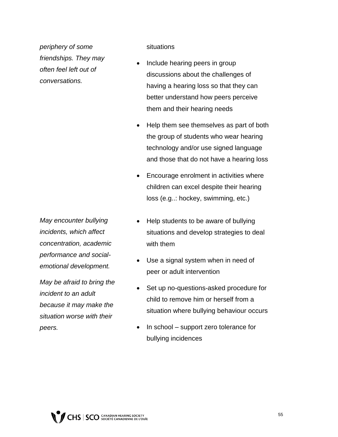*periphery of some friendships. They may often feel left out of conversations.* 

situations

- Include hearing peers in group discussions about the challenges of having a hearing loss so that they can better understand how peers perceive them and their hearing needs
- Help them see themselves as part of both the group of students who wear hearing technology and/or use signed language and those that do not have a hearing loss
- Encourage enrolment in activities where children can excel despite their hearing loss (e.g..: hockey, swimming, etc.)
- *May encounter bullying incidents, which affect concentration, academic performance and socialemotional development.*

*May be afraid to bring the incident to an adult because it may make the situation worse with their peers.* 

- Help students to be aware of bullying situations and develop strategies to deal with them
- Use a signal system when in need of peer or adult intervention
- Set up no-questions-asked procedure for child to remove him or herself from a situation where bullying behaviour occurs
- In school support zero tolerance for bullying incidences

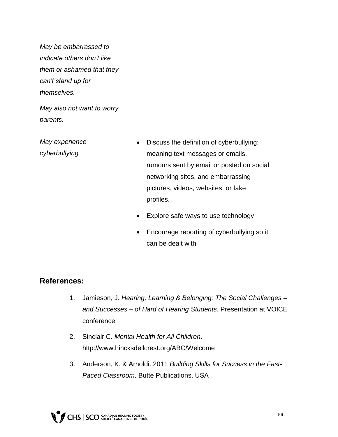*May be embarrassed to indicate others don't like them or ashamed that they can't stand up for themselves.*

*May also not want to worry parents.*

*May experience cyberbullying*

- Discuss the definition of cyberbullying: meaning text messages or emails, rumours sent by email or posted on social networking sites, and embarrassing pictures, videos, websites, or fake profiles.
- Explore safe ways to use technology
- Encourage reporting of cyberbullying so it can be dealt with

#### **References:**

- 1. Jamieson, J. *Hearing, Learning & Belonging: The Social Challenges – and Successes – of Hard of Hearing Students*. Presentation at VOICE conference
- 2. Sinclair C. *Mental Health for All Children*. http://www.hincksdellcrest.org/ABC/Welcome
- 3. Anderson, K. & Arnoldi. 2011 *Building Skills for Success in the Fast-Paced Classroom*. Butte Publications, USA

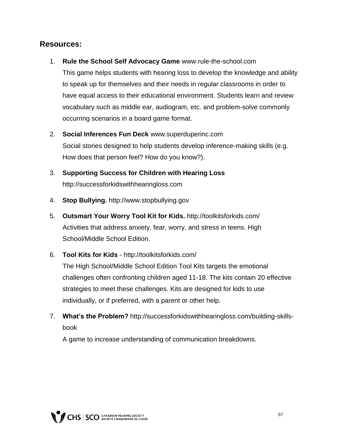#### **Resources:**

- 1. **Rule the School Self Advocacy Game** www.rule-the-school.com This game helps students with hearing loss to develop the knowledge and ability to speak up for themselves and their needs in regular classrooms in order to have equal access to their educational environment. Students learn and review vocabulary such as middle ear, audiogram, etc. and problem-solve commonly occurring scenarios in a board game format.
- 2. **Social Inferences Fun Deck** www.superduperinc.com Social stories designed to help students develop inference-making skills (e.g. How does that person feel? How do you know?).
- 3. **Supporting Success for Children with Hearing Loss**  http://successforkidswithhearingloss.com
- 4. **Stop Bullying.** http://www.stopbullying.gov
- 5. **Outsmart Your Worry Tool Kit for Kids.** http://toolkitsforkids.com/ Activities that address anxiety, fear, worry, and stress in teens. High School/Middle School Edition.
- 6. **Tool Kits for Kids** http://toolkitsforkids.com/

The High School/Middle School Edition Tool Kits targets the emotional challenges often confronting children aged 11-18. The kits contain 20 effective strategies to meet these challenges. Kits are designed for kids to use individually, or if preferred, with a parent or other help.

7. **What's the Problem?** http://successforkidswithhearingloss.com/building-skillsbook

A game to increase understanding of communication breakdowns.

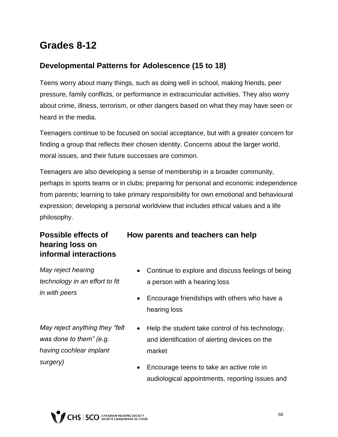### **Grades 8-12**

#### **Developmental Patterns for Adolescence (15 to 18)**

Teens worry about many things, such as doing well in school, making friends, peer pressure, family conflicts, or performance in extracurricular activities. They also worry about crime, illness, terrorism, or other dangers based on what they may have seen or heard in the media.

Teenagers continue to be focused on social acceptance, but with a greater concern for finding a group that reflects their chosen identity. Concerns about the larger world, moral issues, and their future successes are common.

Teenagers are also developing a sense of membership in a broader community, perhaps in sports teams or in clubs; preparing for personal and economic independence from parents; learning to take primary responsibility for own emotional and behavioural expression; developing a personal worldview that includes ethical values and a life philosophy.

#### **Possible effects of hearing loss on informal interactions**

*May reject hearing technology in an effort to fit in with peers*

*May reject anything they "felt was done to them" (e.g. having cochlear implant surgery)* 

#### **How parents and teachers can help**

- Continue to explore and discuss feelings of being a person with a hearing loss
- Encourage friendships with others who have a hearing loss
- Help the student take control of his technology, and identification of alerting devices on the market
- Encourage teens to take an active role in audiological appointments, reporting issues and

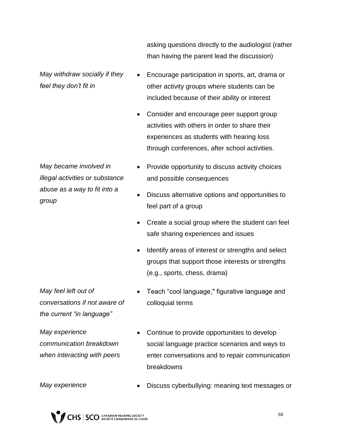asking questions directly to the audiologist (rather than having the parent lead the discussion)

*May withdraw socially if they feel they don't fit in*

- Encourage participation in sports, art, drama or other activity groups where students can be included because of their ability or interest
- Consider and encourage peer support group activities with others in order to share their experiences as students with hearing loss through conferences, after school activities.

*May became involved in illegal activities or substance abuse as a way to fit into a group*

- Provide opportunity to discuss activity choices and possible consequences
- Discuss alternative options and opportunities to feel part of a group
- Create a social group where the student can feel safe sharing experiences and issues
- Identify areas of interest or strengths and select groups that support those interests or strengths (e.g., sports, chess, drama)

*May feel left out of conversations if not aware of the current "in language"*

*May experience communication breakdown when interacting with peers* 

- Teach "cool language," figurative language and colloquial terms
- Continue to provide opportunities to develop social language practice scenarios and ways to enter conversations and to repair communication breakdowns

*May experience* • Discuss cyberbullying: meaning text messages or

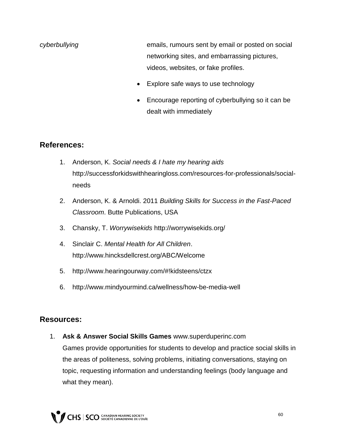- *cyberbullying* emails, rumours sent by email or posted on social networking sites, and embarrassing pictures, videos, websites, or fake profiles.
	- Explore safe ways to use technology
	- Encourage reporting of cyberbullying so it can be dealt with immediately

#### **References:**

- 1. Anderson, K. *Social needs & I hate my hearing aids* http://successforkidswithhearingloss.com/resources-for-professionals/socialneeds
- 2. Anderson, K. & Arnoldi. 2011 *Building Skills for Success in the Fast-Paced Classroom*. Butte Publications, USA
- 3. Chansky, T. *Worrywisekids* http://worrywisekids.org/
- 4. Sinclair C. *Mental Health for All Children*. http://www.hincksdellcrest.org/ABC/Welcome
- 5. http://www.hearingourway.com/#!kidsteens/ctzx
- 6. http://www.mindyourmind.ca/wellness/how-be-media-well

#### **Resources:**

1. **Ask & Answer Social Skills Games** www.superduperinc.com Games provide opportunities for students to develop and practice social skills in the areas of politeness, solving problems, initiating conversations, staying on topic, requesting information and understanding feelings (body language and what they mean).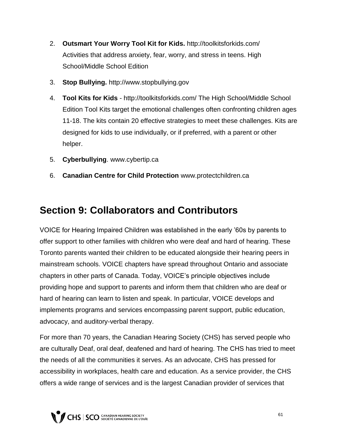- 2. **Outsmart Your Worry Tool Kit for Kids.** http://toolkitsforkids.com/ Activities that address anxiety, fear, worry, and stress in teens. High School/Middle School Edition
- 3. **Stop Bullying.** http://www.stopbullying.gov
- 4. **Tool Kits for Kids** http://toolkitsforkids.com/ The High School/Middle School Edition Tool Kits target the emotional challenges often confronting children ages 11-18. The kits contain 20 effective strategies to meet these challenges. Kits are designed for kids to use individually, or if preferred, with a parent or other helper.
- 5. **Cyberbullying**. www.cybertip.ca
- 6. **Canadian Centre for Child Protection** www.protectchildren.ca

### **Section 9: Collaborators and Contributors**

VOICE for Hearing Impaired Children was established in the early '60s by parents to offer support to other families with children who were deaf and hard of hearing. These Toronto parents wanted their children to be educated alongside their hearing peers in mainstream schools. VOICE chapters have spread throughout Ontario and associate chapters in other parts of Canada. Today, VOICE's principle objectives include providing hope and support to parents and inform them that children who are deaf or hard of hearing can learn to listen and speak. In particular, VOICE develops and implements programs and services encompassing parent support, public education, advocacy, and auditory-verbal therapy.

For more than 70 years, the Canadian Hearing Society (CHS) has served people who are culturally Deaf, oral deaf, deafened and hard of hearing. The CHS has tried to meet the needs of all the communities it serves. As an advocate, CHS has pressed for accessibility in workplaces, health care and education. As a service provider, the CHS offers a wide range of services and is the largest Canadian provider of services that

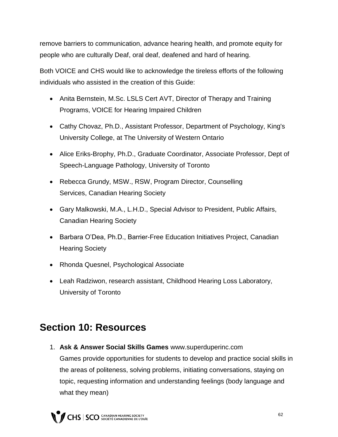remove barriers to communication, advance hearing health, and promote equity for people who are culturally Deaf, oral deaf, deafened and hard of hearing.

Both VOICE and CHS would like to acknowledge the tireless efforts of the following individuals who assisted in the creation of this Guide:

- Anita Bernstein, M.Sc. LSLS Cert AVT, Director of Therapy and Training Programs, VOICE for Hearing Impaired Children
- Cathy Chovaz, Ph.D., Assistant Professor, Department of Psychology, King's University College, at The University of Western Ontario
- Alice Eriks-Brophy, Ph.D., Graduate Coordinator, Associate Professor, Dept of Speech-Language Pathology, University of Toronto
- Rebecca Grundy, MSW., RSW, Program Director, Counselling Services, Canadian Hearing Society
- Gary Malkowski, M.A., L.H.D., Special Advisor to President, Public Affairs, Canadian Hearing Society
- Barbara O'Dea, Ph.D., Barrier-Free Education Initiatives Project, Canadian Hearing Society
- Rhonda Quesnel, Psychological Associate
- Leah Radziwon, research assistant, Childhood Hearing Loss Laboratory, University of Toronto

### **Section 10: Resources**

1. **Ask & Answer Social Skills Games** www.superduperinc.com Games provide opportunities for students to develop and practice social skills in the areas of politeness, solving problems, initiating conversations, staying on topic, requesting information and understanding feelings (body language and what they mean)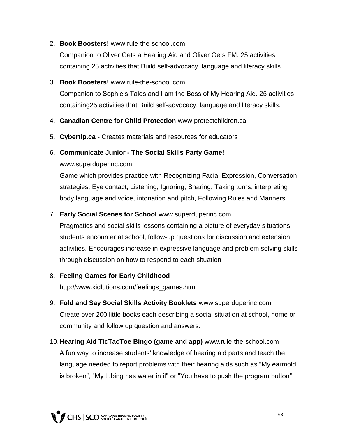#### 2. **Book Boosters!** www.rule-the-school.com

Companion to Oliver Gets a Hearing Aid and Oliver Gets FM. 25 activities containing 25 activities that Build self-advocacy, language and literacy skills.

#### 3. **Book Boosters!** www.rule-the-school.com

Companion to Sophie's Tales and I am the Boss of My Hearing Aid. 25 activities containing25 activities that Build self-advocacy, language and literacy skills.

- 4. **Canadian Centre for Child Protection** www.protectchildren.ca
- 5. **Cybertip.ca** Creates materials and resources for educators

#### 6. **Communicate Junior - The Social Skills Party Game!**

#### www.superduperinc.com

Game which provides practice with Recognizing Facial Expression, Conversation strategies, Eye contact, Listening, Ignoring, Sharing, Taking turns, interpreting body language and voice, intonation and pitch, Following Rules and Manners

#### 7. **Early Social Scenes for School** www.superduperinc.com

Pragmatics and social skills lessons containing a picture of everyday situations students encounter at school, follow-up questions for discussion and extension activities. Encourages increase in expressive language and problem solving skills through discussion on how to respond to each situation

#### 8. **Feeling Games for Early Childhood**

http://www.kidlutions.com/feelings\_games.html

- 9. **Fold and Say Social Skills Activity Booklets** www.superduperinc.com Create over 200 little books each describing a social situation at school, home or community and follow up question and answers.
- 10.**Hearing Aid TicTacToe Bingo (game and app)** www.rule-the-school.com A fun way to increase students' knowledge of hearing aid parts and teach the language needed to report problems with their hearing aids such as "My earmold is broken", "My tubing has water in it" or "You have to push the program button"

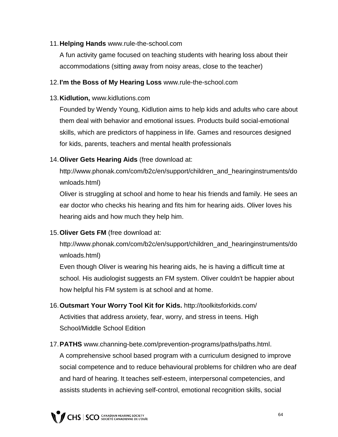#### 11.**Helping Hands** www.rule-the-school.com

A fun activity game focused on teaching students with hearing loss about their accommodations (sitting away from noisy areas, close to the teacher)

#### 12.**I'm the Boss of My Hearing Loss** www.rule-the-school.com

#### 13.**Kidlution,** www.kidlutions.com

Founded by Wendy Young, Kidlution aims to help kids and adults who care about them deal with behavior and emotional issues. Products build social-emotional skills, which are predictors of happiness in life. Games and resources designed for kids, parents, teachers and mental health professionals

#### 14.**Oliver Gets Hearing Aids** (free download at:

http://www.phonak.com/com/b2c/en/support/children\_and\_hearinginstruments/do wnloads.html)

Oliver is struggling at school and home to hear his friends and family. He sees an ear doctor who checks his hearing and fits him for hearing aids. Oliver loves his hearing aids and how much they help him.

#### 15.**Oliver Gets FM** (free download at:

http://www.phonak.com/com/b2c/en/support/children\_and\_hearinginstruments/do wnloads.html)

Even though Oliver is wearing his hearing aids, he is having a difficult time at school. His audiologist suggests an FM system. Oliver couldn't be happier about how helpful his FM system is at school and at home.

- 16.**Outsmart Your Worry Tool Kit for Kids.** http://toolkitsforkids.com/ Activities that address anxiety, fear, worry, and stress in teens. High School/Middle School Edition
- 17.**PATHS** www.channing-bete.com/prevention-programs/paths/paths.html. A comprehensive school based program with a curriculum designed to improve social competence and to reduce behavioural problems for children who are deaf and hard of hearing. It teaches self-esteem, interpersonal competencies, and assists students in achieving self-control, emotional recognition skills, social



64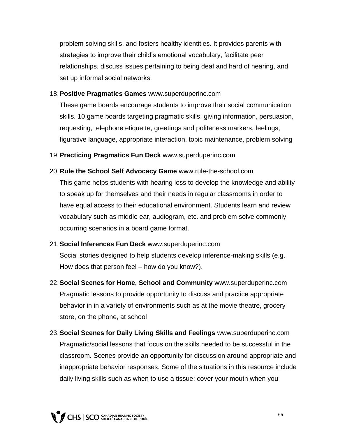problem solving skills, and fosters healthy identities. It provides parents with strategies to improve their child's emotional vocabulary, facilitate peer relationships, discuss issues pertaining to being deaf and hard of hearing, and set up informal social networks.

#### 18.**Positive Pragmatics Games** www.superduperinc.com

These game boards encourage students to improve their social communication skills. 10 game boards targeting pragmatic skills: giving information, persuasion, requesting, telephone etiquette, greetings and politeness markers, feelings, figurative language, appropriate interaction, topic maintenance, problem solving

19.**Practicing Pragmatics Fun Deck** www.superduperinc.com

- 20.**Rule the School Self Advocacy Game** www.rule-the-school.com This game helps students with hearing loss to develop the knowledge and ability to speak up for themselves and their needs in regular classrooms in order to have equal access to their educational environment. Students learn and review vocabulary such as middle ear, audiogram, etc. and problem solve commonly occurring scenarios in a board game format.
- 21.**Social Inferences Fun Deck** www.superduperinc.com Social stories designed to help students develop inference-making skills (e.g. How does that person feel – how do you know?).
- 22.**Social Scenes for Home, School and Community** www.superduperinc.com Pragmatic lessons to provide opportunity to discuss and practice appropriate behavior in in a variety of environments such as at the movie theatre, grocery store, on the phone, at school
- 23.**Social Scenes for Daily Living Skills and Feelings** www.superduperinc.com Pragmatic/social lessons that focus on the skills needed to be successful in the classroom. Scenes provide an opportunity for discussion around appropriate and inappropriate behavior responses. Some of the situations in this resource include daily living skills such as when to use a tissue; cover your mouth when you

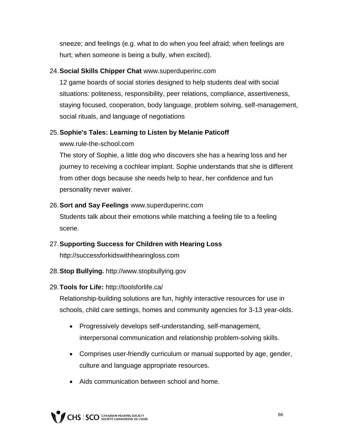sneeze; and feelings (e.g. what to do when you feel afraid; when feelings are hurt; when someone is being a bully, when excited).

#### 24.**Social Skills Chipper Chat** www.superduperinc.com

12 game boards of social stories designed to help students deal with social situations: politeness, responsibility, peer relations, compliance, assertiveness, staying focused, cooperation, body language, problem solving, self-management, social rituals, and language of negotiations

#### 25.**Sophie's Tales: Learning to Listen by Melanie Paticoff**

www.rule-the-school.com

The story of Sophie, a little dog who discovers she has a hearing loss and her journey to receiving a cochlear implant. Sophie understands that she is different from other dogs because she needs help to hear, her confidence and fun personality never waiver.

#### 26.**Sort and Say Feelings** www.superduperinc.com

Students talk about their emotions while matching a feeling tile to a feeling scene.

#### 27.**Supporting Success for Children with Hearing Loss**

http://successforkidswithhearingloss.com

#### 28.**Stop Bullying.** http://www.stopbullying.gov

#### 29.**Tools for Life:** http://toolsforlife.ca/

Relationship-building solutions are fun, highly interactive resources for use in schools, child care settings, homes and community agencies for 3-13 year-olds.

- Progressively develops self-understanding, self-management, interpersonal communication and relationship problem-solving skills.
- Comprises user-friendly curriculum or manual supported by age, gender, culture and language appropriate resources.
- Aids communication between school and home.